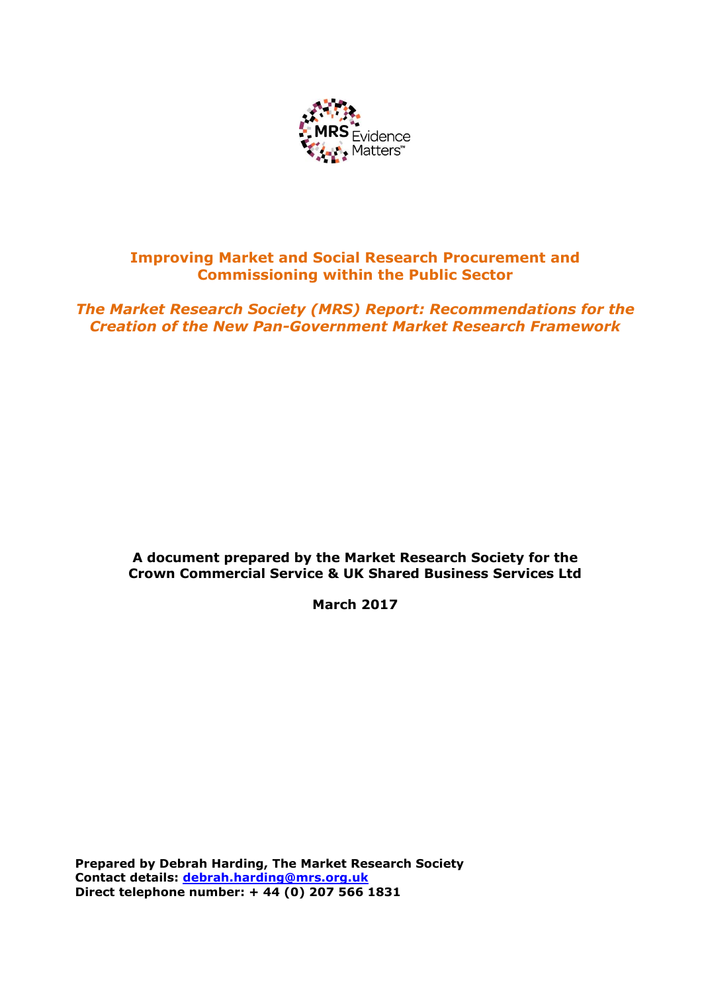

## **Improving Market and Social Research Procurement and Commissioning within the Public Sector**

*The Market Research Society (MRS) Report: Recommendations for the Creation of the New Pan-Government Market Research Framework*

## **A document prepared by the Market Research Society for the Crown Commercial Service & UK Shared Business Services Ltd**

**March 2017**

**Prepared by Debrah Harding, The Market Research Society Contact details: [debrah.harding@mrs.org.uk](mailto:debrah.harding@mrs.org.uk) Direct telephone number: + 44 (0) 207 566 1831**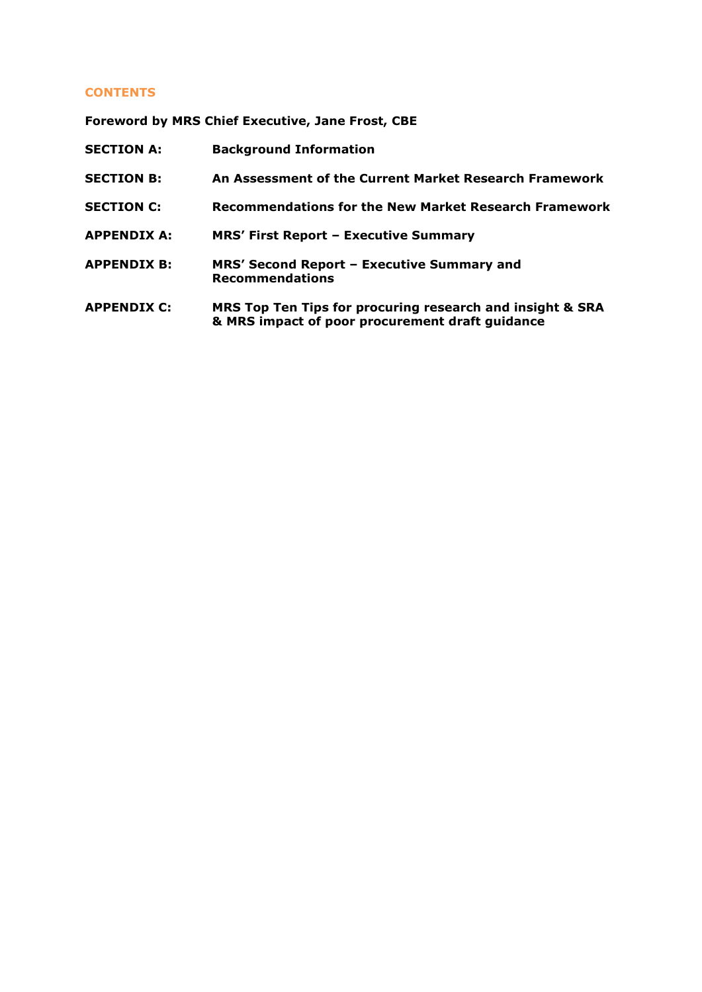## **CONTENTS**

**Foreword by MRS Chief Executive, Jane Frost, CBE**

| <b>SECTION A:</b>  | <b>Background Information</b>                                                                                |
|--------------------|--------------------------------------------------------------------------------------------------------------|
| <b>SECTION B:</b>  | An Assessment of the Current Market Research Framework                                                       |
| <b>SECTION C:</b>  | Recommendations for the New Market Research Framework                                                        |
| <b>APPENDIX A:</b> | <b>MRS' First Report - Executive Summary</b>                                                                 |
| <b>APPENDIX B:</b> | MRS' Second Report - Executive Summary and<br><b>Recommendations</b>                                         |
| <b>APPENDIX C:</b> | MRS Top Ten Tips for procuring research and insight & SRA<br>& MRS impact of poor procurement draft guidance |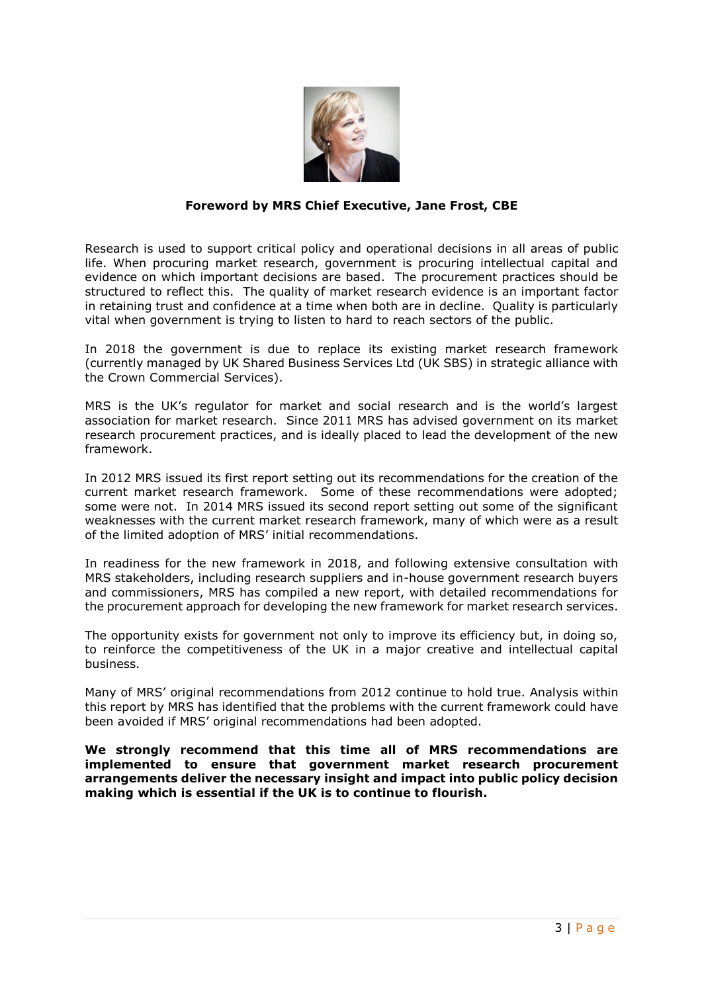

## **Foreword by MRS Chief Executive, Jane Frost, CBE**

Research is used to support critical policy and operational decisions in all areas of public life. When procuring market research, government is procuring intellectual capital and evidence on which important decisions are based. The procurement practices should be structured to reflect this. The quality of market research evidence is an important factor in retaining trust and confidence at a time when both are in decline. Quality is particularly vital when government is trying to listen to hard to reach sectors of the public.

In 2018 the government is due to replace its existing market research framework (currently managed by UK Shared Business Services Ltd (UK SBS) in strategic alliance with the Crown Commercial Services).

MRS is the UK's regulator for market and social research and is the world's largest association for market research. Since 2011 MRS has advised government on its market research procurement practices, and is ideally placed to lead the development of the new framework.

In 2012 MRS issued its first report setting out its recommendations for the creation of the current market research framework. Some of these recommendations were adopted; some were not. In 2014 MRS issued its second report setting out some of the significant weaknesses with the current market research framework, many of which were as a result of the limited adoption of MRS' initial recommendations.

In readiness for the new framework in 2018, and following extensive consultation with MRS stakeholders, including research suppliers and in-house government research buyers and commissioners, MRS has compiled a new report, with detailed recommendations for the procurement approach for developing the new framework for market research services.

The opportunity exists for government not only to improve its efficiency but, in doing so, to reinforce the competitiveness of the UK in a major creative and intellectual capital business.

Many of MRS' original recommendations from 2012 continue to hold true. Analysis within this report by MRS has identified that the problems with the current framework could have been avoided if MRS' original recommendations had been adopted.

**We strongly recommend that this time all of MRS recommendations are implemented to ensure that government market research procurement arrangements deliver the necessary insight and impact into public policy decision making which is essential if the UK is to continue to flourish.**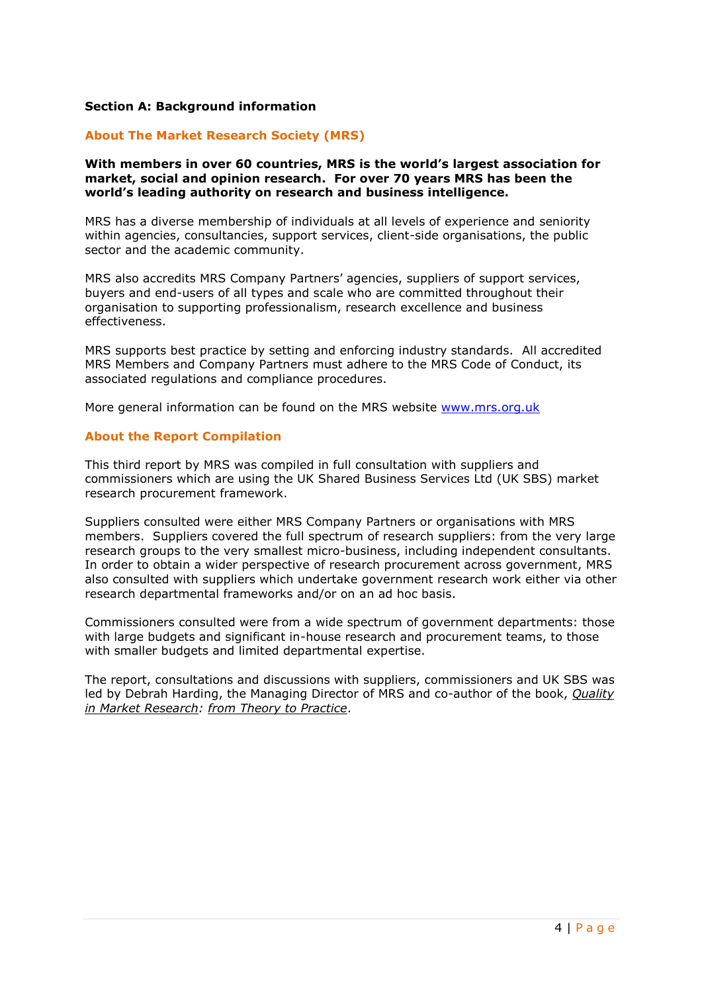## **Section A: Background information**

## **About The Market Research Society (MRS)**

#### **With members in over 60 countries, MRS is the world's largest association for market, social and opinion research. For over 70 years MRS has been the world's leading authority on research and business intelligence.**

MRS has a diverse membership of individuals at all levels of experience and seniority within agencies, consultancies, support services, client-side organisations, the public sector and the academic community.

MRS also accredits MRS Company Partners' agencies, suppliers of support services, buyers and end-users of all types and scale who are committed throughout their organisation to supporting professionalism, research excellence and business effectiveness.

MRS supports best practice by setting and enforcing industry standards. All accredited MRS Members and Company Partners must adhere to the MRS Code of Conduct, its associated regulations and compliance procedures.

More general information can be found on the MRS website [www.mrs.org.uk](http://www.mrs.org.uk/)

## **About the Report Compilation**

This third report by MRS was compiled in full consultation with suppliers and commissioners which are using the UK Shared Business Services Ltd (UK SBS) market research procurement framework.

Suppliers consulted were either MRS Company Partners or organisations with MRS members. Suppliers covered the full spectrum of research suppliers: from the very large research groups to the very smallest micro-business, including independent consultants. In order to obtain a wider perspective of research procurement across government, MRS also consulted with suppliers which undertake government research work either via other research departmental frameworks and/or on an ad hoc basis.

Commissioners consulted were from a wide spectrum of government departments: those with large budgets and significant in-house research and procurement teams, to those with smaller budgets and limited departmental expertise.

The report, consultations and discussions with suppliers, commissioners and UK SBS was led by Debrah Harding, the Managing Director of MRS and co-author of the book, *[Quality](http://shop.bsigroup.com/en/ProductDetail/?pid=000000000030217521)  [in Market Research: from Theory to Practice](http://shop.bsigroup.com/en/ProductDetail/?pid=000000000030217521)*.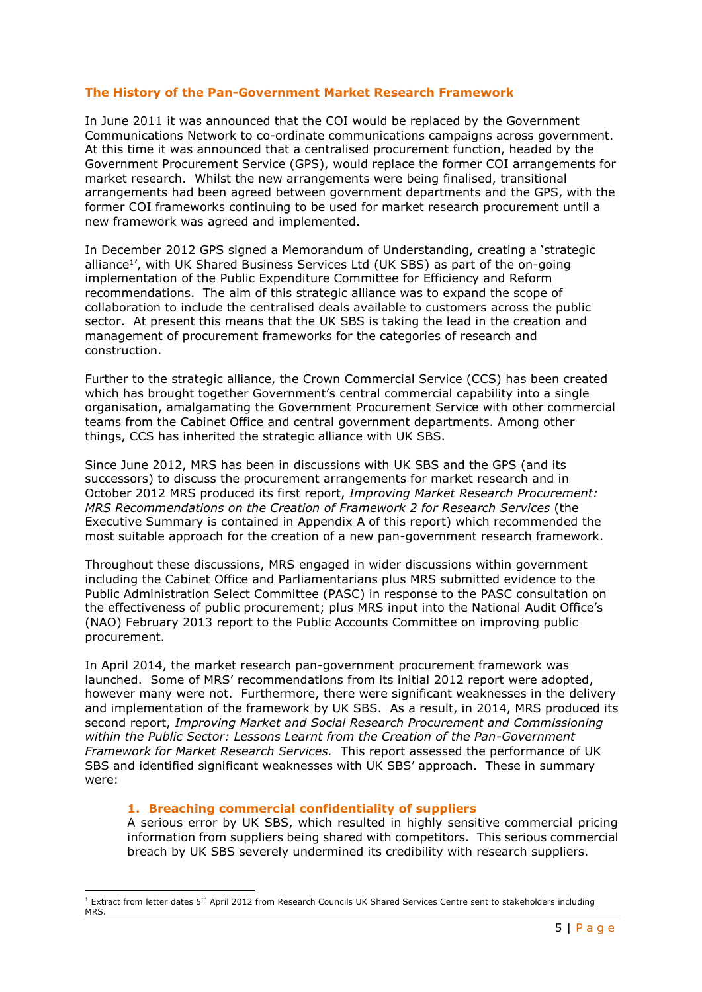## **The History of the Pan-Government Market Research Framework**

In June 2011 it was announced that the COI would be replaced by the Government Communications Network to co-ordinate communications campaigns across government. At this time it was announced that a centralised procurement function, headed by the Government Procurement Service (GPS), would replace the former COI arrangements for market research. Whilst the new arrangements were being finalised, transitional arrangements had been agreed between government departments and the GPS, with the former COI frameworks continuing to be used for market research procurement until a new framework was agreed and implemented.

In December 2012 GPS signed a Memorandum of Understanding, creating a 'strategic alliance<sup>1</sup> ', with UK Shared Business Services Ltd (UK SBS) as part of the on-going implementation of the Public Expenditure Committee for Efficiency and Reform recommendations. The aim of this strategic alliance was to expand the scope of collaboration to include the centralised deals available to customers across the public sector. At present this means that the UK SBS is taking the lead in the creation and management of procurement frameworks for the categories of research and construction.

Further to the strategic alliance, the Crown Commercial Service (CCS) has been created which has brought together Government's central commercial capability into a single organisation, amalgamating the Government Procurement Service with other commercial teams from the Cabinet Office and central government departments. Among other things, CCS has inherited the strategic alliance with UK SBS.

Since June 2012, MRS has been in discussions with UK SBS and the GPS (and its successors) to discuss the procurement arrangements for market research and in October 2012 MRS produced its first report, *Improving Market Research Procurement: MRS Recommendations on the Creation of Framework 2 for Research Services* (the Executive Summary is contained in Appendix A of this report) which recommended the most suitable approach for the creation of a new pan-government research framework.

Throughout these discussions, MRS engaged in wider discussions within government including the Cabinet Office and Parliamentarians plus MRS submitted evidence to the Public Administration Select Committee (PASC) in response to the PASC consultation on the effectiveness of public procurement; plus MRS input into the National Audit Office's (NAO) February 2013 report to the Public Accounts Committee on improving public procurement.

In April 2014, the market research pan-government procurement framework was launched. Some of MRS' recommendations from its initial 2012 report were adopted, however many were not. Furthermore, there were significant weaknesses in the delivery and implementation of the framework by UK SBS. As a result, in 2014, MRS produced its second report, *Improving Market and Social Research Procurement and Commissioning within the Public Sector: Lessons Learnt from the Creation of the Pan-Government Framework for Market Research Services.* This report assessed the performance of UK SBS and identified significant weaknesses with UK SBS' approach. These in summary were:

## **1. Breaching commercial confidentiality of suppliers**

**.** 

A serious error by UK SBS, which resulted in highly sensitive commercial pricing information from suppliers being shared with competitors. This serious commercial breach by UK SBS severely undermined its credibility with research suppliers.

 $1$  Extract from letter dates 5<sup>th</sup> April 2012 from Research Councils UK Shared Services Centre sent to stakeholders including MRS.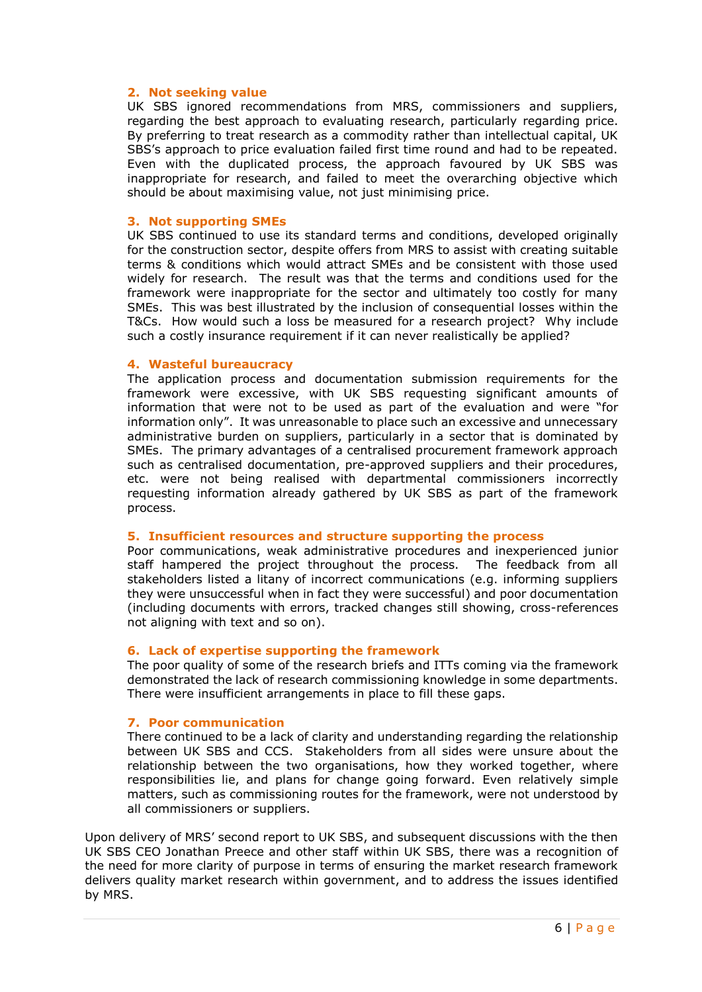## **2. Not seeking value**

UK SBS ignored recommendations from MRS, commissioners and suppliers, regarding the best approach to evaluating research, particularly regarding price. By preferring to treat research as a commodity rather than intellectual capital, UK SBS's approach to price evaluation failed first time round and had to be repeated. Even with the duplicated process, the approach favoured by UK SBS was inappropriate for research, and failed to meet the overarching objective which should be about maximising value, not just minimising price.

#### **3. Not supporting SMEs**

UK SBS continued to use its standard terms and conditions, developed originally for the construction sector, despite offers from MRS to assist with creating suitable terms & conditions which would attract SMEs and be consistent with those used widely for research. The result was that the terms and conditions used for the framework were inappropriate for the sector and ultimately too costly for many SMEs. This was best illustrated by the inclusion of consequential losses within the T&Cs. How would such a loss be measured for a research project? Why include such a costly insurance requirement if it can never realistically be applied?

#### **4. Wasteful bureaucracy**

The application process and documentation submission requirements for the framework were excessive, with UK SBS requesting significant amounts of information that were not to be used as part of the evaluation and were "for information only". It was unreasonable to place such an excessive and unnecessary administrative burden on suppliers, particularly in a sector that is dominated by SMEs. The primary advantages of a centralised procurement framework approach such as centralised documentation, pre-approved suppliers and their procedures, etc. were not being realised with departmental commissioners incorrectly requesting information already gathered by UK SBS as part of the framework process.

#### **5. Insufficient resources and structure supporting the process**

Poor communications, weak administrative procedures and inexperienced junior staff hampered the project throughout the process. The feedback from all stakeholders listed a litany of incorrect communications (e.g. informing suppliers they were unsuccessful when in fact they were successful) and poor documentation (including documents with errors, tracked changes still showing, cross-references not aligning with text and so on).

#### **6. Lack of expertise supporting the framework**

The poor quality of some of the research briefs and ITTs coming via the framework demonstrated the lack of research commissioning knowledge in some departments. There were insufficient arrangements in place to fill these gaps.

## **7. Poor communication**

There continued to be a lack of clarity and understanding regarding the relationship between UK SBS and CCS. Stakeholders from all sides were unsure about the relationship between the two organisations, how they worked together, where responsibilities lie, and plans for change going forward. Even relatively simple matters, such as commissioning routes for the framework, were not understood by all commissioners or suppliers.

Upon delivery of MRS' second report to UK SBS, and subsequent discussions with the then UK SBS CEO Jonathan Preece and other staff within UK SBS, there was a recognition of the need for more clarity of purpose in terms of ensuring the market research framework delivers quality market research within government, and to address the issues identified by MRS.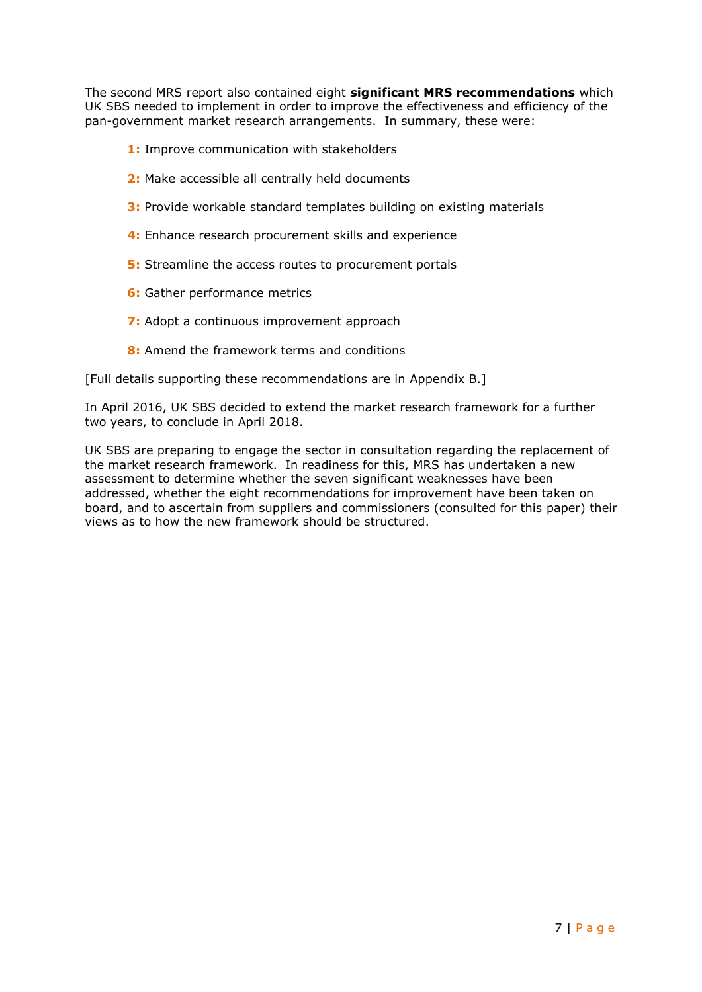The second MRS report also contained eight **significant MRS recommendations** which UK SBS needed to implement in order to improve the effectiveness and efficiency of the pan-government market research arrangements. In summary, these were:

- **1:** Improve communication with stakeholders
- **2:** Make accessible all centrally held documents
- **3:** Provide workable standard templates building on existing materials
- **4:** Enhance research procurement skills and experience
- **5:** Streamline the access routes to procurement portals
- **6:** Gather performance metrics
- **7:** Adopt a continuous improvement approach
- **8:** Amend the framework terms and conditions

[Full details supporting these recommendations are in Appendix B.]

In April 2016, UK SBS decided to extend the market research framework for a further two years, to conclude in April 2018.

UK SBS are preparing to engage the sector in consultation regarding the replacement of the market research framework. In readiness for this, MRS has undertaken a new assessment to determine whether the seven significant weaknesses have been addressed, whether the eight recommendations for improvement have been taken on board, and to ascertain from suppliers and commissioners (consulted for this paper) their views as to how the new framework should be structured.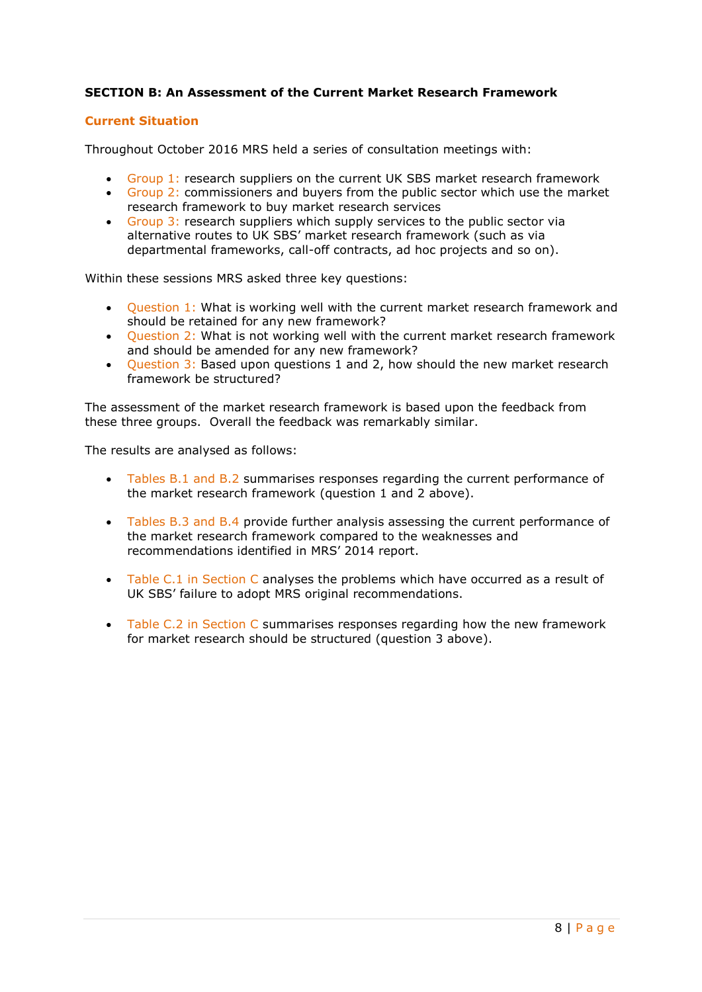## **SECTION B: An Assessment of the Current Market Research Framework**

## **Current Situation**

Throughout October 2016 MRS held a series of consultation meetings with:

- Group 1: research suppliers on the current UK SBS market research framework
- Group 2: commissioners and buyers from the public sector which use the market research framework to buy market research services
- Group  $3$ : research suppliers which supply services to the public sector via alternative routes to UK SBS' market research framework (such as via departmental frameworks, call-off contracts, ad hoc projects and so on).

Within these sessions MRS asked three key questions:

- Question 1: What is working well with the current market research framework and should be retained for any new framework?
- Question 2: What is not working well with the current market research framework and should be amended for any new framework?
- Question 3: Based upon questions 1 and 2, how should the new market research framework be structured?

The assessment of the market research framework is based upon the feedback from these three groups. Overall the feedback was remarkably similar.

The results are analysed as follows:

- Tables B.1 and B.2 summarises responses regarding the current performance of the market research framework (question 1 and 2 above).
- Tables B.3 and B.4 provide further analysis assessing the current performance of the market research framework compared to the weaknesses and recommendations identified in MRS' 2014 report.
- Table C.1 in Section C analyses the problems which have occurred as a result of UK SBS' failure to adopt MRS original recommendations.
- Table C.2 in Section C summarises responses regarding how the new framework for market research should be structured (question 3 above).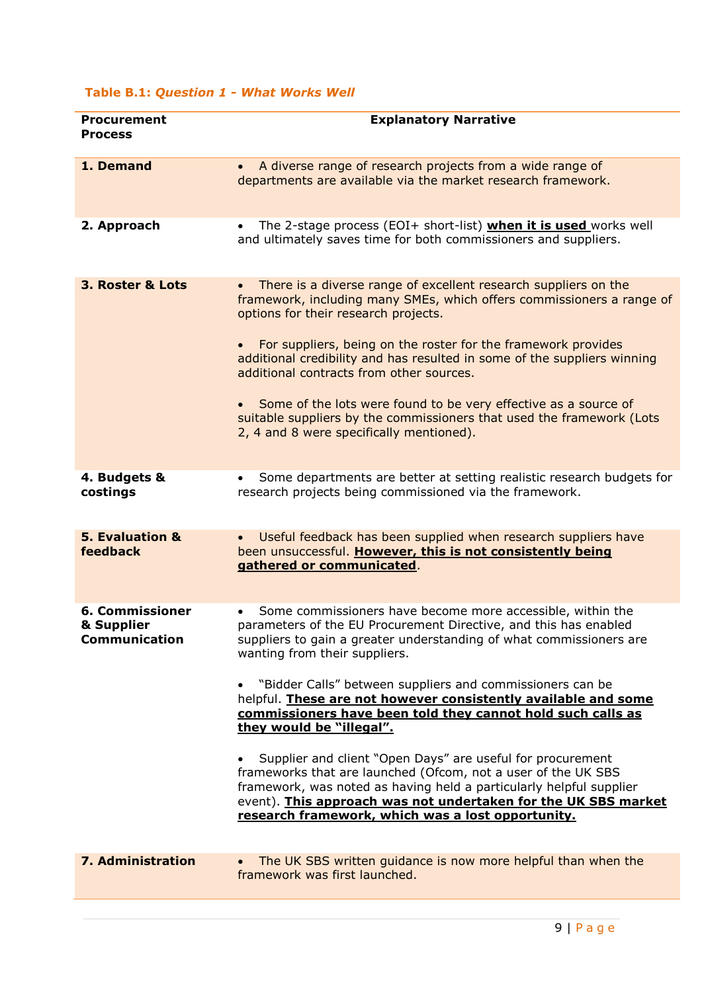## **Table B.1:** *Question 1 - What Works Well*

| <b>Procurement</b><br><b>Process</b>                         | <b>Explanatory Narrative</b>                                                                                                                                                                                                                                                                                                                                                                                                                                                                                                                                                                                                                                                                                                                                                                  |
|--------------------------------------------------------------|-----------------------------------------------------------------------------------------------------------------------------------------------------------------------------------------------------------------------------------------------------------------------------------------------------------------------------------------------------------------------------------------------------------------------------------------------------------------------------------------------------------------------------------------------------------------------------------------------------------------------------------------------------------------------------------------------------------------------------------------------------------------------------------------------|
| 1. Demand                                                    | A diverse range of research projects from a wide range of<br>$\bullet$<br>departments are available via the market research framework.                                                                                                                                                                                                                                                                                                                                                                                                                                                                                                                                                                                                                                                        |
| 2. Approach                                                  | The 2-stage process (EOI+ short-list) when it is used works well<br>and ultimately saves time for both commissioners and suppliers.                                                                                                                                                                                                                                                                                                                                                                                                                                                                                                                                                                                                                                                           |
| 3. Roster & Lots                                             | There is a diverse range of excellent research suppliers on the<br>framework, including many SMEs, which offers commissioners a range of<br>options for their research projects.<br>For suppliers, being on the roster for the framework provides<br>additional credibility and has resulted in some of the suppliers winning<br>additional contracts from other sources.<br>Some of the lots were found to be very effective as a source of<br>suitable suppliers by the commissioners that used the framework (Lots<br>2, 4 and 8 were specifically mentioned).                                                                                                                                                                                                                             |
| 4. Budgets &<br>costings                                     | Some departments are better at setting realistic research budgets for<br>research projects being commissioned via the framework.                                                                                                                                                                                                                                                                                                                                                                                                                                                                                                                                                                                                                                                              |
| 5. Evaluation &<br>feedback                                  | Useful feedback has been supplied when research suppliers have<br>been unsuccessful. However, this is not consistently being<br>gathered or communicated.                                                                                                                                                                                                                                                                                                                                                                                                                                                                                                                                                                                                                                     |
| <b>6. Commissioner</b><br>& Supplier<br><b>Communication</b> | Some commissioners have become more accessible, within the<br>parameters of the EU Procurement Directive, and this has enabled<br>suppliers to gain a greater understanding of what commissioners are<br>wanting from their suppliers.<br>"Bidder Calls" between suppliers and commissioners can be<br>helpful. These are not however consistently available and some<br>commissioners have been told they cannot hold such calls as<br>they would be "illegal".<br>Supplier and client "Open Days" are useful for procurement<br>frameworks that are launched (Ofcom, not a user of the UK SBS<br>framework, was noted as having held a particularly helpful supplier<br>event). This approach was not undertaken for the UK SBS market<br>research framework, which was a lost opportunity. |
| <b>7. Administration</b>                                     | The UK SBS written guidance is now more helpful than when the<br>framework was first launched.                                                                                                                                                                                                                                                                                                                                                                                                                                                                                                                                                                                                                                                                                                |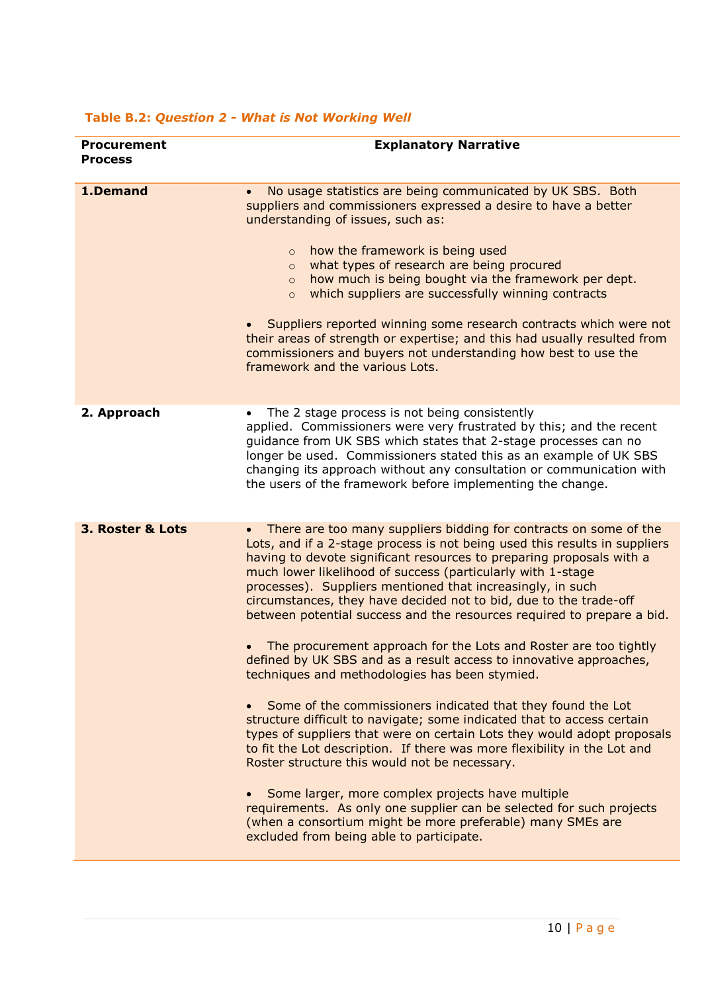| <b>Procurement</b><br><b>Process</b> | <b>Explanatory Narrative</b>                                                                                                                                                                                                                                                                                                                                                                                                                                                                                                                                                                                                                                                                                                                                                                                                                                                                                                                                                                                                                                                                                                                                                                                                                                                                                     |
|--------------------------------------|------------------------------------------------------------------------------------------------------------------------------------------------------------------------------------------------------------------------------------------------------------------------------------------------------------------------------------------------------------------------------------------------------------------------------------------------------------------------------------------------------------------------------------------------------------------------------------------------------------------------------------------------------------------------------------------------------------------------------------------------------------------------------------------------------------------------------------------------------------------------------------------------------------------------------------------------------------------------------------------------------------------------------------------------------------------------------------------------------------------------------------------------------------------------------------------------------------------------------------------------------------------------------------------------------------------|
| 1.Demand                             | No usage statistics are being communicated by UK SBS. Both<br>$\bullet$<br>suppliers and commissioners expressed a desire to have a better<br>understanding of issues, such as:<br>how the framework is being used<br>$\circ$<br>what types of research are being procured<br>$\circ$<br>how much is being bought via the framework per dept.<br>$\circ$<br>which suppliers are successfully winning contracts<br>$\circ$<br>Suppliers reported winning some research contracts which were not<br>their areas of strength or expertise; and this had usually resulted from<br>commissioners and buyers not understanding how best to use the<br>framework and the various Lots.                                                                                                                                                                                                                                                                                                                                                                                                                                                                                                                                                                                                                                  |
| 2. Approach                          | The 2 stage process is not being consistently<br>applied. Commissioners were very frustrated by this; and the recent<br>quidance from UK SBS which states that 2-stage processes can no<br>longer be used. Commissioners stated this as an example of UK SBS<br>changing its approach without any consultation or communication with<br>the users of the framework before implementing the change.                                                                                                                                                                                                                                                                                                                                                                                                                                                                                                                                                                                                                                                                                                                                                                                                                                                                                                               |
| 3. Roster & Lots                     | There are too many suppliers bidding for contracts on some of the<br>$\bullet$<br>Lots, and if a 2-stage process is not being used this results in suppliers<br>having to devote significant resources to preparing proposals with a<br>much lower likelihood of success (particularly with 1-stage<br>processes). Suppliers mentioned that increasingly, in such<br>circumstances, they have decided not to bid, due to the trade-off<br>between potential success and the resources required to prepare a bid.<br>The procurement approach for the Lots and Roster are too tightly<br>defined by UK SBS and as a result access to innovative approaches,<br>techniques and methodologies has been stymied.<br>Some of the commissioners indicated that they found the Lot<br>structure difficult to navigate; some indicated that to access certain<br>types of suppliers that were on certain Lots they would adopt proposals<br>to fit the Lot description. If there was more flexibility in the Lot and<br>Roster structure this would not be necessary.<br>Some larger, more complex projects have multiple<br>$\bullet$<br>requirements. As only one supplier can be selected for such projects<br>(when a consortium might be more preferable) many SMEs are<br>excluded from being able to participate. |

## **Table B.2:** *Question 2 - What is Not Working Well*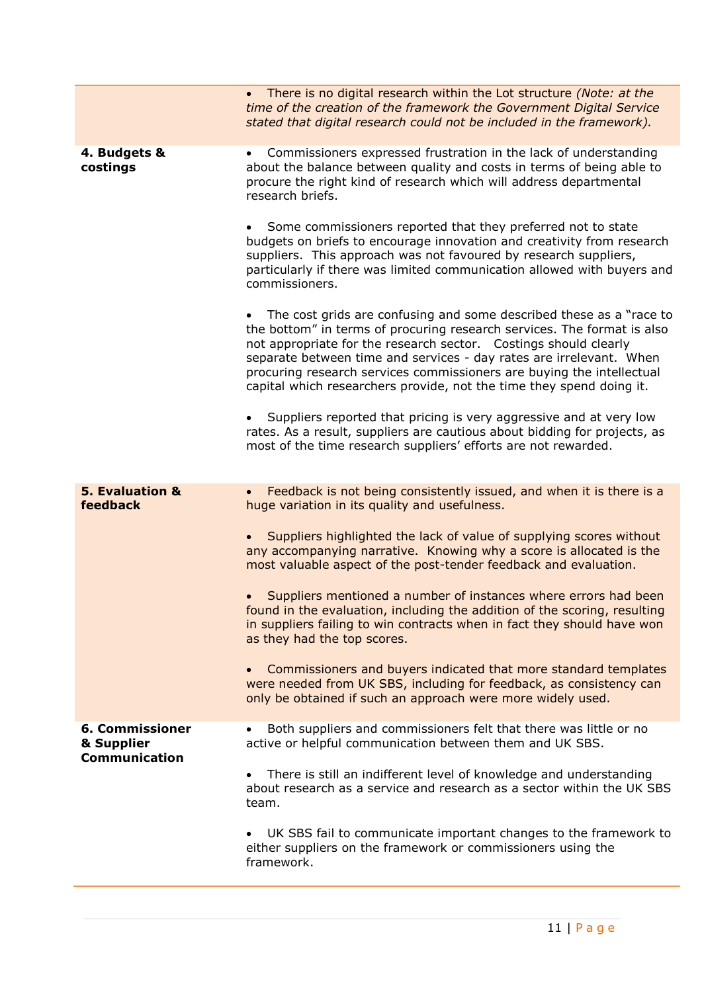|                                                              | • There is no digital research within the Lot structure (Note: at the<br>time of the creation of the framework the Government Digital Service<br>stated that digital research could not be included in the framework).                                                                                                                                                                                                                                                                                                                                                                                                                                                                                                                                                                                                                                                                                                                                                                                                                                                                                                                                                                                                                      |
|--------------------------------------------------------------|---------------------------------------------------------------------------------------------------------------------------------------------------------------------------------------------------------------------------------------------------------------------------------------------------------------------------------------------------------------------------------------------------------------------------------------------------------------------------------------------------------------------------------------------------------------------------------------------------------------------------------------------------------------------------------------------------------------------------------------------------------------------------------------------------------------------------------------------------------------------------------------------------------------------------------------------------------------------------------------------------------------------------------------------------------------------------------------------------------------------------------------------------------------------------------------------------------------------------------------------|
| 4. Budgets &<br>costings                                     | Commissioners expressed frustration in the lack of understanding<br>$\bullet$<br>about the balance between quality and costs in terms of being able to<br>procure the right kind of research which will address departmental<br>research briefs.<br>Some commissioners reported that they preferred not to state<br>budgets on briefs to encourage innovation and creativity from research<br>suppliers. This approach was not favoured by research suppliers,<br>particularly if there was limited communication allowed with buyers and<br>commissioners.<br>The cost grids are confusing and some described these as a "race to<br>$\bullet$<br>the bottom" in terms of procuring research services. The format is also<br>not appropriate for the research sector. Costings should clearly<br>separate between time and services - day rates are irrelevant. When<br>procuring research services commissioners are buying the intellectual<br>capital which researchers provide, not the time they spend doing it.<br>Suppliers reported that pricing is very aggressive and at very low<br>rates. As a result, suppliers are cautious about bidding for projects, as<br>most of the time research suppliers' efforts are not rewarded. |
| <b>5. Evaluation &amp;</b><br>feedback                       | Feedback is not being consistently issued, and when it is there is a<br>$\bullet$<br>huge variation in its quality and usefulness.<br>Suppliers highlighted the lack of value of supplying scores without<br>any accompanying narrative. Knowing why a score is allocated is the<br>most valuable aspect of the post-tender feedback and evaluation.<br>Suppliers mentioned a number of instances where errors had been<br>found in the evaluation, including the addition of the scoring, resulting<br>in suppliers failing to win contracts when in fact they should have won<br>as they had the top scores.<br>Commissioners and buyers indicated that more standard templates<br>$\bullet$<br>were needed from UK SBS, including for feedback, as consistency can<br>only be obtained if such an approach were more widely used.                                                                                                                                                                                                                                                                                                                                                                                                        |
| <b>6. Commissioner</b><br>& Supplier<br><b>Communication</b> | Both suppliers and commissioners felt that there was little or no<br>active or helpful communication between them and UK SBS.<br>There is still an indifferent level of knowledge and understanding<br>$\bullet$<br>about research as a service and research as a sector within the UK SBS<br>team.<br>UK SBS fail to communicate important changes to the framework to<br>either suppliers on the framework or commissioners using the<br>framework.                                                                                                                                                                                                                                                                                                                                                                                                                                                                                                                                                                                                                                                                                                                                                                                       |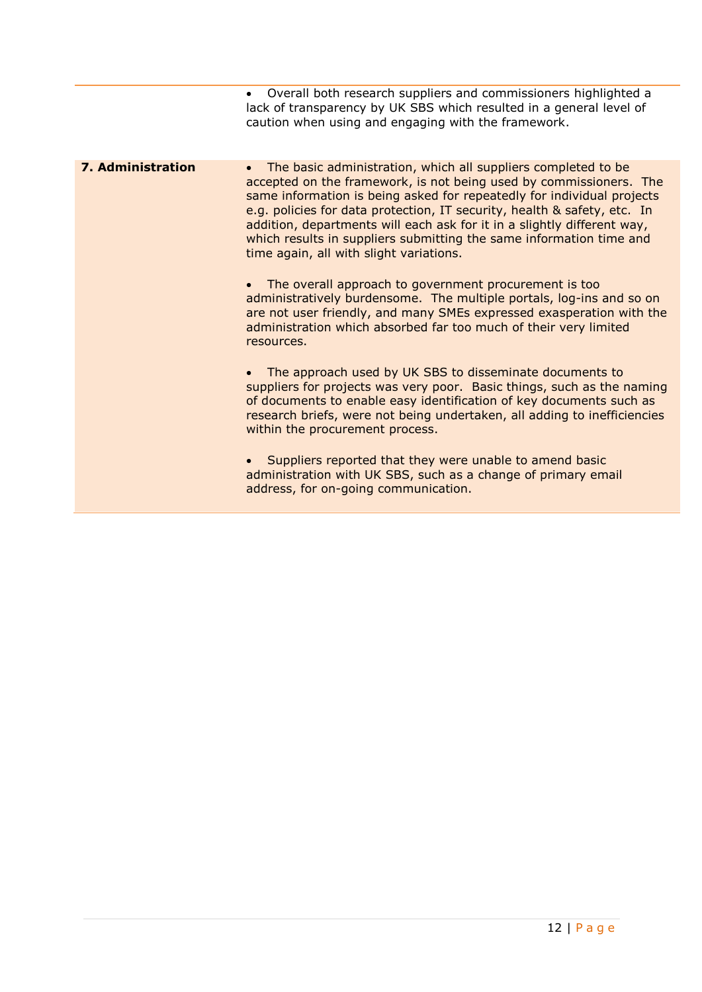|                          | Overall both research suppliers and commissioners highlighted a<br>lack of transparency by UK SBS which resulted in a general level of<br>caution when using and engaging with the framework.                                                                                                                                                                                                                                                                                                       |
|--------------------------|-----------------------------------------------------------------------------------------------------------------------------------------------------------------------------------------------------------------------------------------------------------------------------------------------------------------------------------------------------------------------------------------------------------------------------------------------------------------------------------------------------|
| <b>7. Administration</b> | The basic administration, which all suppliers completed to be<br>$\bullet$<br>accepted on the framework, is not being used by commissioners. The<br>same information is being asked for repeatedly for individual projects<br>e.g. policies for data protection, IT security, health & safety, etc. In<br>addition, departments will each ask for it in a slightly different way,<br>which results in suppliers submitting the same information time and<br>time again, all with slight variations. |
|                          | The overall approach to government procurement is too<br>administratively burdensome. The multiple portals, log-ins and so on<br>are not user friendly, and many SMEs expressed exasperation with the<br>administration which absorbed far too much of their very limited<br>resources.                                                                                                                                                                                                             |
|                          | The approach used by UK SBS to disseminate documents to<br>suppliers for projects was very poor. Basic things, such as the naming<br>of documents to enable easy identification of key documents such as<br>research briefs, were not being undertaken, all adding to inefficiencies<br>within the procurement process.                                                                                                                                                                             |
|                          | Suppliers reported that they were unable to amend basic<br>administration with UK SBS, such as a change of primary email<br>address, for on-going communication.                                                                                                                                                                                                                                                                                                                                    |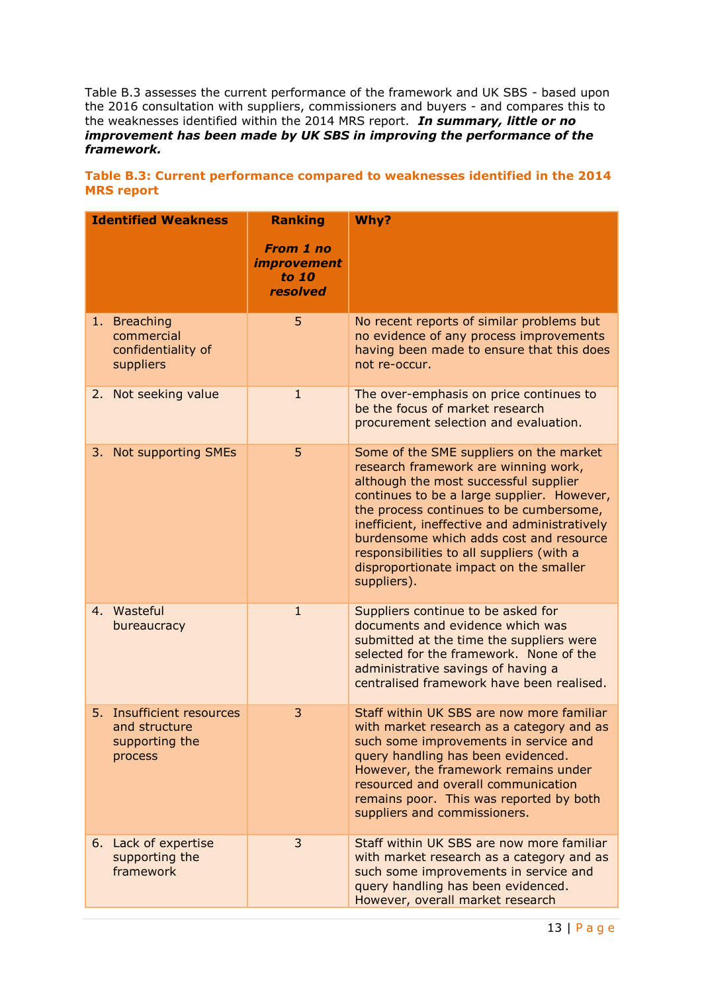Table B.3 assesses the current performance of the framework and UK SBS - based upon the 2016 consultation with suppliers, commissioners and buyers - and compares this to the weaknesses identified within the 2014 MRS report. *In summary, little or no improvement has been made by UK SBS in improving the performance of the framework.*

| <b>Identified Weakness</b>                                                        | <b>Ranking</b><br><b>From 1 no</b><br><i><b>improvement</b></i> | Why?                                                                                                                                                                                                                                                                                                                                                                                                                |
|-----------------------------------------------------------------------------------|-----------------------------------------------------------------|---------------------------------------------------------------------------------------------------------------------------------------------------------------------------------------------------------------------------------------------------------------------------------------------------------------------------------------------------------------------------------------------------------------------|
|                                                                                   | to 10<br>resolved                                               |                                                                                                                                                                                                                                                                                                                                                                                                                     |
| 1. Breaching<br>commercial<br>confidentiality of<br>suppliers                     | 5                                                               | No recent reports of similar problems but<br>no evidence of any process improvements<br>having been made to ensure that this does<br>not re-occur.                                                                                                                                                                                                                                                                  |
| 2. Not seeking value                                                              | $\mathbf{1}$                                                    | The over-emphasis on price continues to<br>be the focus of market research<br>procurement selection and evaluation.                                                                                                                                                                                                                                                                                                 |
| 3. Not supporting SMEs                                                            | 5                                                               | Some of the SME suppliers on the market<br>research framework are winning work,<br>although the most successful supplier<br>continues to be a large supplier. However,<br>the process continues to be cumbersome,<br>inefficient, ineffective and administratively<br>burdensome which adds cost and resource<br>responsibilities to all suppliers (with a<br>disproportionate impact on the smaller<br>suppliers). |
| 4. Wasteful<br>bureaucracy                                                        | $\mathbf{1}$                                                    | Suppliers continue to be asked for<br>documents and evidence which was<br>submitted at the time the suppliers were<br>selected for the framework. None of the<br>administrative savings of having a<br>centralised framework have been realised.                                                                                                                                                                    |
| <b>Insufficient resources</b><br>5.<br>and structure<br>supporting the<br>process | 3                                                               | Staff within UK SBS are now more familiar<br>with market research as a category and as<br>such some improvements in service and<br>query handling has been evidenced.<br>However, the framework remains under<br>resourced and overall communication<br>remains poor. This was reported by both<br>suppliers and commissioners.                                                                                     |
| 6. Lack of expertise<br>supporting the<br>framework                               | 3                                                               | Staff within UK SBS are now more familiar<br>with market research as a category and as<br>such some improvements in service and<br>query handling has been evidenced.<br>However, overall market research                                                                                                                                                                                                           |

## **Table B.3: Current performance compared to weaknesses identified in the 2014 MRS report**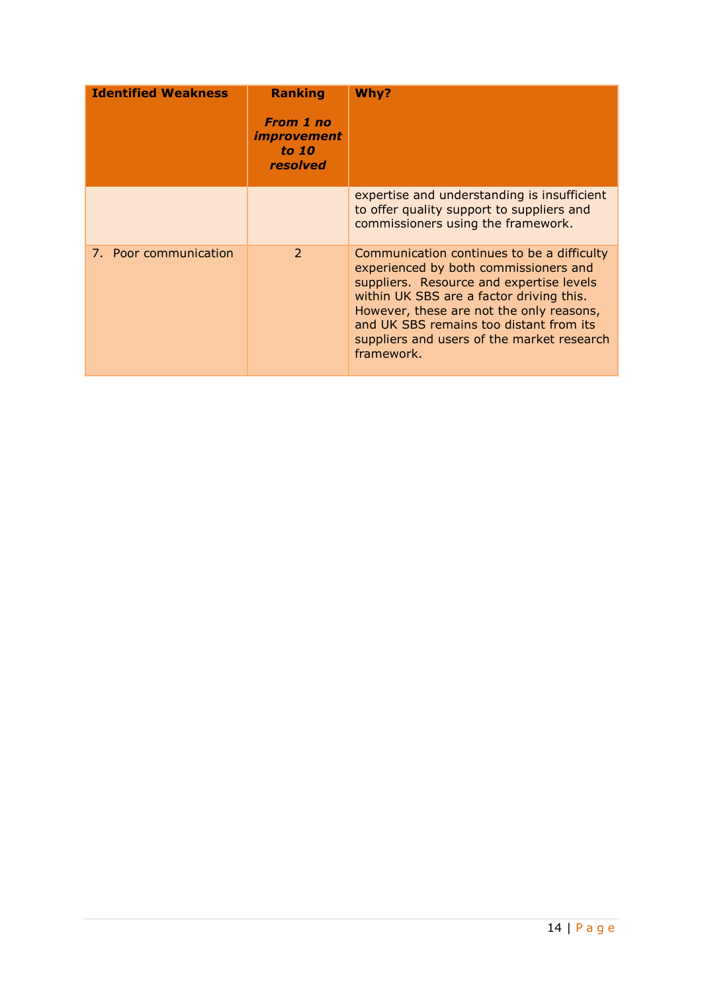| <b>Identified Weakness</b> | <b>Ranking</b><br><b>From 1 no</b><br><i><b>improvement</b></i><br>to 10<br>resolved | Why?                                                                                                                                                                                                                                                                                                                           |
|----------------------------|--------------------------------------------------------------------------------------|--------------------------------------------------------------------------------------------------------------------------------------------------------------------------------------------------------------------------------------------------------------------------------------------------------------------------------|
|                            |                                                                                      | expertise and understanding is insufficient<br>to offer quality support to suppliers and<br>commissioners using the framework.                                                                                                                                                                                                 |
| 7. Poor communication      | $\mathcal{P}$                                                                        | Communication continues to be a difficulty<br>experienced by both commissioners and<br>suppliers. Resource and expertise levels<br>within UK SBS are a factor driving this.<br>However, these are not the only reasons,<br>and UK SBS remains too distant from its<br>suppliers and users of the market research<br>framework. |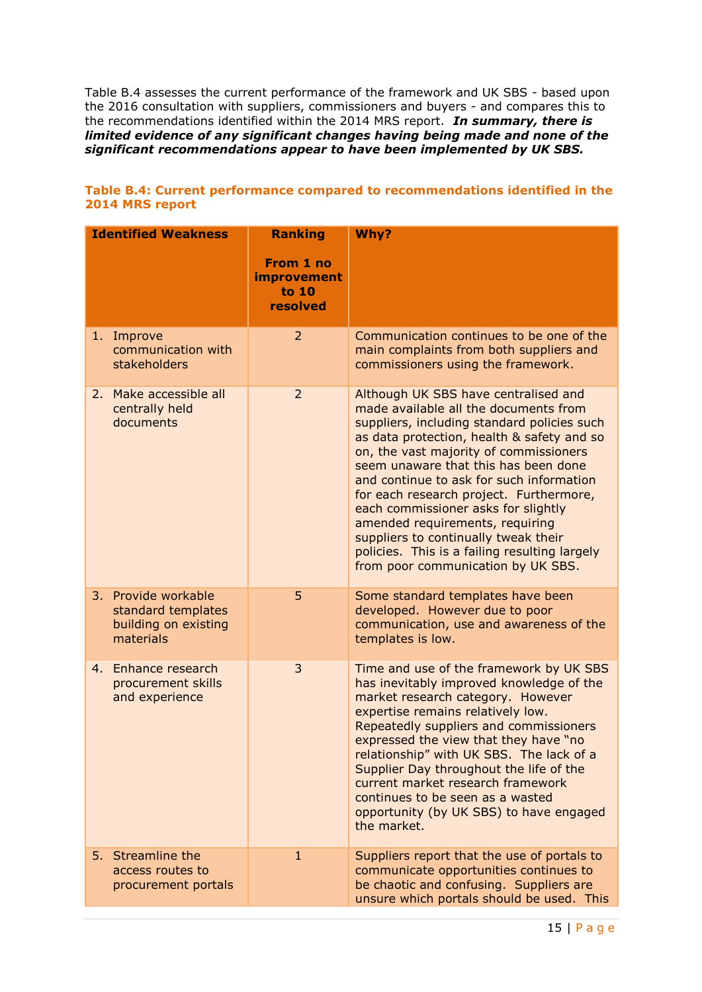Table B.4 assesses the current performance of the framework and UK SBS - based upon the 2016 consultation with suppliers, commissioners and buyers - and compares this to the recommendations identified within the 2014 MRS report. *In summary, there is limited evidence of any significant changes having being made and none of the significant recommendations appear to have been implemented by UK SBS.*

|    | <b>Identified Weakness</b>                                                  | <b>Ranking</b>                                       | Why?                                                                                                                                                                                                                                                                                                                                                                                                                                                                                                                                                         |  |
|----|-----------------------------------------------------------------------------|------------------------------------------------------|--------------------------------------------------------------------------------------------------------------------------------------------------------------------------------------------------------------------------------------------------------------------------------------------------------------------------------------------------------------------------------------------------------------------------------------------------------------------------------------------------------------------------------------------------------------|--|
|    |                                                                             | From 1 no<br><i>improvement</i><br>to 10<br>resolved |                                                                                                                                                                                                                                                                                                                                                                                                                                                                                                                                                              |  |
| 1. | Improve<br>communication with<br>stakeholders                               | $\overline{2}$                                       | Communication continues to be one of the<br>main complaints from both suppliers and<br>commissioners using the framework.                                                                                                                                                                                                                                                                                                                                                                                                                                    |  |
| 2. | Make accessible all<br>centrally held<br>documents                          | $\overline{2}$                                       | Although UK SBS have centralised and<br>made available all the documents from<br>suppliers, including standard policies such<br>as data protection, health & safety and so<br>on, the vast majority of commissioners<br>seem unaware that this has been done<br>and continue to ask for such information<br>for each research project. Furthermore,<br>each commissioner asks for slightly<br>amended requirements, requiring<br>suppliers to continually tweak their<br>policies. This is a failing resulting largely<br>from poor communication by UK SBS. |  |
| 3. | Provide workable<br>standard templates<br>building on existing<br>materials | 5                                                    | Some standard templates have been<br>developed. However due to poor<br>communication, use and awareness of the<br>templates is low.                                                                                                                                                                                                                                                                                                                                                                                                                          |  |
|    | 4. Enhance research<br>procurement skills<br>and experience                 | 3                                                    | Time and use of the framework by UK SBS<br>has inevitably improved knowledge of the<br>market research category. However<br>expertise remains relatively low.<br>Repeatedly suppliers and commissioners<br>expressed the view that they have "no<br>relationship" with UK SBS. The lack of a<br>Supplier Day throughout the life of the<br>current market research framework<br>continues to be seen as a wasted<br>opportunity (by UK SBS) to have engaged<br>the market.                                                                                   |  |
| 5. | Streamline the<br>access routes to<br>procurement portals                   | $\mathbf{1}$                                         | Suppliers report that the use of portals to<br>communicate opportunities continues to<br>be chaotic and confusing. Suppliers are<br>unsure which portals should be used. This                                                                                                                                                                                                                                                                                                                                                                                |  |

## **Table B.4: Current performance compared to recommendations identified in the 2014 MRS report**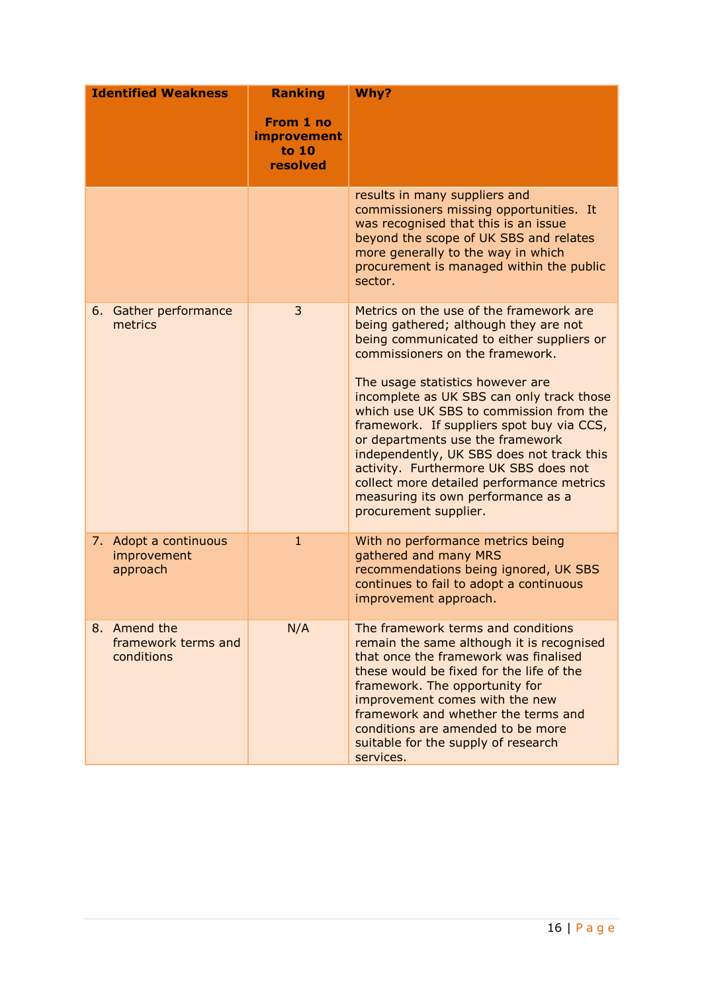| <b>Identified Weakness</b> |                                                   | <b>Ranking</b>                                       | Why?                                                                                                                                                                                                                                                                                                                                                                                                                                                                                                                                                                            |  |
|----------------------------|---------------------------------------------------|------------------------------------------------------|---------------------------------------------------------------------------------------------------------------------------------------------------------------------------------------------------------------------------------------------------------------------------------------------------------------------------------------------------------------------------------------------------------------------------------------------------------------------------------------------------------------------------------------------------------------------------------|--|
|                            |                                                   | From 1 no<br><b>improvement</b><br>to 10<br>resolved |                                                                                                                                                                                                                                                                                                                                                                                                                                                                                                                                                                                 |  |
|                            |                                                   |                                                      | results in many suppliers and<br>commissioners missing opportunities. It<br>was recognised that this is an issue<br>beyond the scope of UK SBS and relates<br>more generally to the way in which<br>procurement is managed within the public<br>sector.                                                                                                                                                                                                                                                                                                                         |  |
|                            | 6. Gather performance<br>metrics                  | 3                                                    | Metrics on the use of the framework are<br>being gathered; although they are not<br>being communicated to either suppliers or<br>commissioners on the framework.<br>The usage statistics however are<br>incomplete as UK SBS can only track those<br>which use UK SBS to commission from the<br>framework. If suppliers spot buy via CCS,<br>or departments use the framework<br>independently, UK SBS does not track this<br>activity. Furthermore UK SBS does not<br>collect more detailed performance metrics<br>measuring its own performance as a<br>procurement supplier. |  |
|                            | 7. Adopt a continuous<br>improvement<br>approach  | $\mathbf{1}$                                         | With no performance metrics being<br>gathered and many MRS<br>recommendations being ignored, UK SBS<br>continues to fail to adopt a continuous<br>improvement approach.                                                                                                                                                                                                                                                                                                                                                                                                         |  |
|                            | 8. Amend the<br>framework terms and<br>conditions | N/A                                                  | The framework terms and conditions<br>remain the same although it is recognised<br>that once the framework was finalised<br>these would be fixed for the life of the<br>framework. The opportunity for<br>improvement comes with the new<br>framework and whether the terms and<br>conditions are amended to be more<br>suitable for the supply of research<br>services.                                                                                                                                                                                                        |  |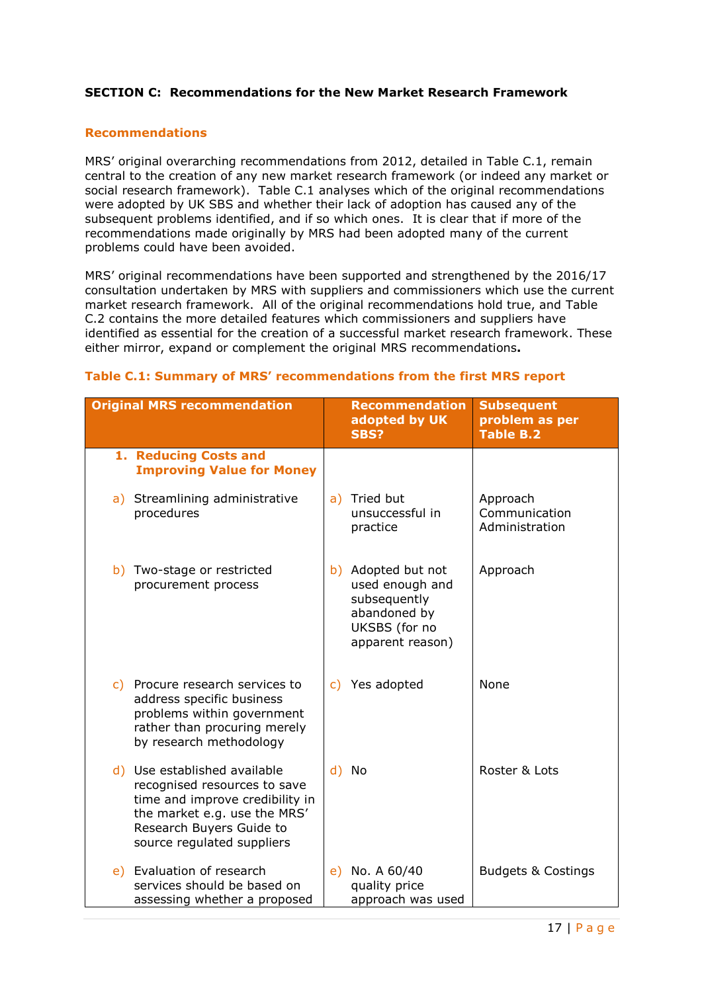## **SECTION C: Recommendations for the New Market Research Framework**

## **Recommendations**

MRS' original overarching recommendations from 2012, detailed in Table C.1, remain central to the creation of any new market research framework (or indeed any market or social research framework). Table C.1 analyses which of the original recommendations were adopted by UK SBS and whether their lack of adoption has caused any of the subsequent problems identified, and if so which ones. It is clear that if more of the recommendations made originally by MRS had been adopted many of the current problems could have been avoided.

MRS' original recommendations have been supported and strengthened by the 2016/17 consultation undertaken by MRS with suppliers and commissioners which use the current market research framework. All of the original recommendations hold true, and Table C.2 contains the more detailed features which commissioners and suppliers have identified as essential for the creation of a successful market research framework. These either mirror, expand or complement the original MRS recommendations**.**

| Table C.1: Summary of MRS' recommendations from the first MRS report |
|----------------------------------------------------------------------|
|----------------------------------------------------------------------|

| <b>Original MRS recommendation</b> |                                                                                                                                                                                           |    | Recommendation<br>adopted by UK<br>SBS?                                                                    | <b>Subsequent</b><br>problem as per<br><b>Table B.2</b> |
|------------------------------------|-------------------------------------------------------------------------------------------------------------------------------------------------------------------------------------------|----|------------------------------------------------------------------------------------------------------------|---------------------------------------------------------|
|                                    | 1. Reducing Costs and<br><b>Improving Value for Money</b>                                                                                                                                 |    |                                                                                                            |                                                         |
|                                    | a) Streamlining administrative<br>procedures                                                                                                                                              |    | a) Tried but<br>unsuccessful in<br>practice                                                                | Approach<br>Communication<br>Administration             |
|                                    | b) Two-stage or restricted<br>procurement process                                                                                                                                         |    | b) Adopted but not<br>used enough and<br>subsequently<br>abandoned by<br>UKSBS (for no<br>apparent reason) | Approach                                                |
|                                    | c) Procure research services to<br>address specific business<br>problems within government<br>rather than procuring merely<br>by research methodology                                     | C) | Yes adopted                                                                                                | None                                                    |
|                                    | d) Use established available<br>recognised resources to save<br>time and improve credibility in<br>the market e.g. use the MRS'<br>Research Buyers Guide to<br>source regulated suppliers | d) | No                                                                                                         | Roster & Lots                                           |
|                                    | e) Evaluation of research<br>services should be based on<br>assessing whether a proposed                                                                                                  | e) | No. A 60/40<br>quality price<br>approach was used                                                          | <b>Budgets &amp; Costings</b>                           |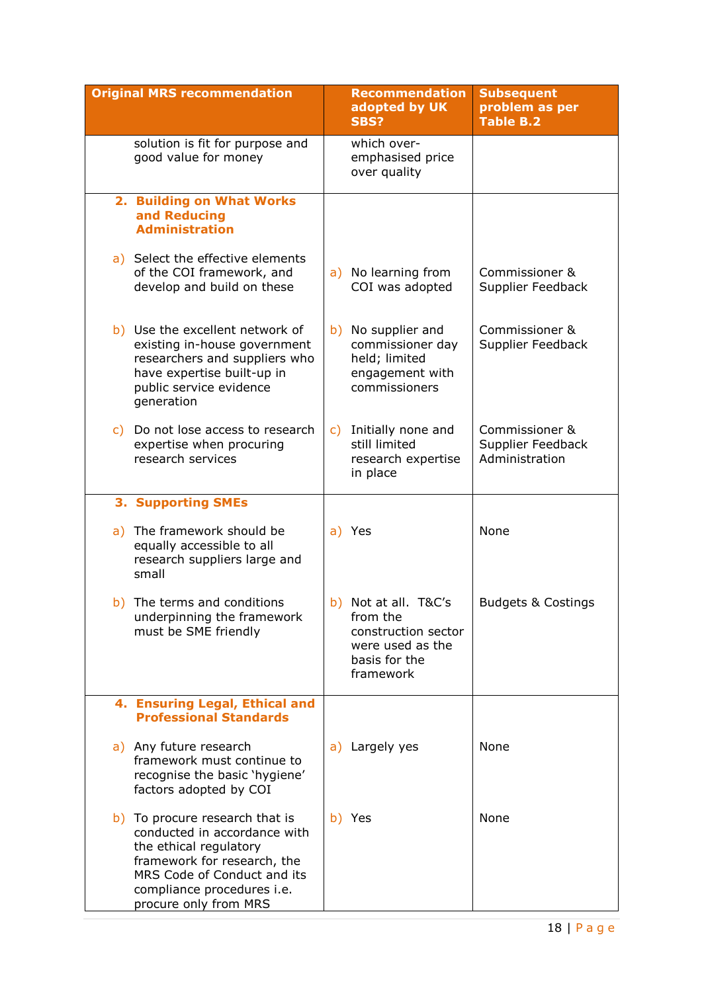| <b>Original MRS recommendation</b>                                                                                                                                                                            |    | <b>Recommendation</b><br>adopted by UK<br><b>SBS?</b>                                                     | <b>Subsequent</b><br>problem as per<br><b>Table B.2</b> |
|---------------------------------------------------------------------------------------------------------------------------------------------------------------------------------------------------------------|----|-----------------------------------------------------------------------------------------------------------|---------------------------------------------------------|
| solution is fit for purpose and<br>good value for money                                                                                                                                                       |    | which over-<br>emphasised price<br>over quality                                                           |                                                         |
| 2. Building on What Works<br>and Reducing<br><b>Administration</b>                                                                                                                                            |    |                                                                                                           |                                                         |
| a) Select the effective elements<br>of the COI framework, and<br>develop and build on these                                                                                                                   |    | a) No learning from<br>COI was adopted                                                                    | Commissioner &<br>Supplier Feedback                     |
| b) Use the excellent network of<br>existing in-house government<br>researchers and suppliers who<br>have expertise built-up in<br>public service evidence<br>generation                                       |    | b) No supplier and<br>commissioner day<br>held; limited<br>engagement with<br>commissioners               | Commissioner &<br>Supplier Feedback                     |
| c) Do not lose access to research<br>expertise when procuring<br>research services                                                                                                                            | C) | Initially none and<br>still limited<br>research expertise<br>in place                                     | Commissioner &<br>Supplier Feedback<br>Administration   |
| <b>3. Supporting SMEs</b>                                                                                                                                                                                     |    |                                                                                                           |                                                         |
| a) The framework should be<br>equally accessible to all<br>research suppliers large and<br>small                                                                                                              |    | a) Yes                                                                                                    | None                                                    |
| b) The terms and conditions<br>underpinning the framework<br>must be SME friendly                                                                                                                             |    | b) Not at all. T&C's<br>from the<br>construction sector<br>were used as the<br>basis for the<br>framework | <b>Budgets &amp; Costings</b>                           |
| 4. Ensuring Legal, Ethical and<br><b>Professional Standards</b>                                                                                                                                               |    |                                                                                                           |                                                         |
| a) Any future research<br>framework must continue to<br>recognise the basic 'hygiene'<br>factors adopted by COI                                                                                               |    | a) Largely yes                                                                                            | None                                                    |
| b) To procure research that is<br>conducted in accordance with<br>the ethical regulatory<br>framework for research, the<br>MRS Code of Conduct and its<br>compliance procedures i.e.<br>procure only from MRS |    | b) Yes                                                                                                    | None                                                    |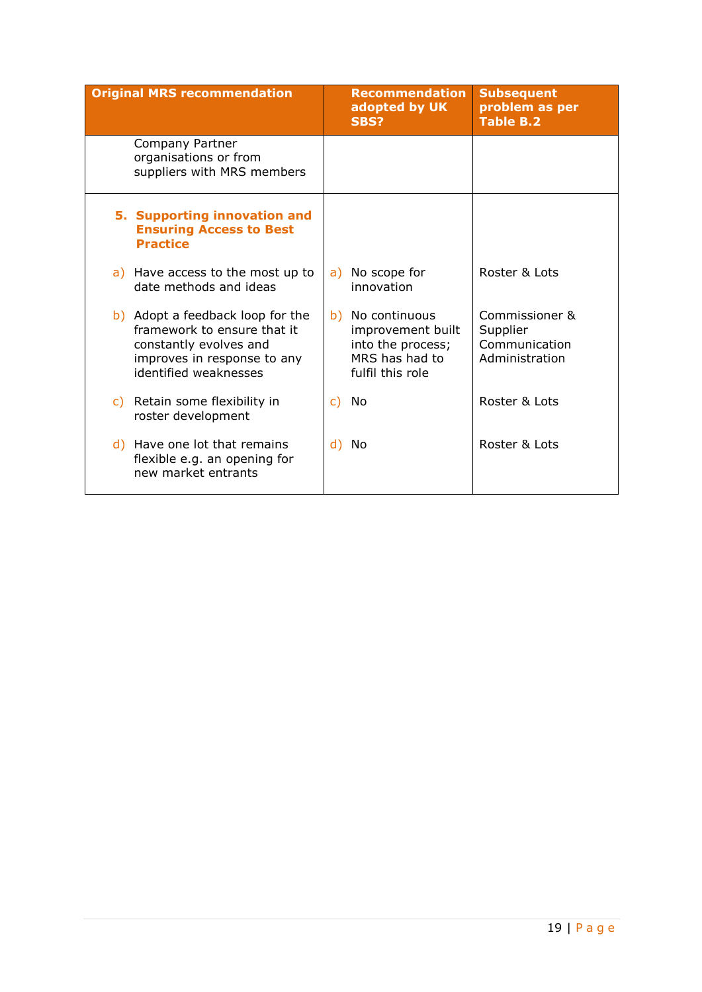| <b>Original MRS recommendation</b>                                                                                                                | <b>Recommendation</b><br>adopted by UK<br><b>SBS?</b>                                            | <b>Subsequent</b><br>problem as per<br><b>Table B.2</b>       |
|---------------------------------------------------------------------------------------------------------------------------------------------------|--------------------------------------------------------------------------------------------------|---------------------------------------------------------------|
| Company Partner<br>organisations or from<br>suppliers with MRS members                                                                            |                                                                                                  |                                                               |
| 5. Supporting innovation and<br><b>Ensuring Access to Best</b><br><b>Practice</b>                                                                 |                                                                                                  |                                                               |
| a) Have access to the most up to<br>date methods and ideas                                                                                        | No scope for<br>a)<br>innovation                                                                 | Roster & Lots                                                 |
| b) Adopt a feedback loop for the<br>framework to ensure that it<br>constantly evolves and<br>improves in response to any<br>identified weaknesses | b) No continuous<br>improvement built<br>into the process;<br>MRS has had to<br>fulfil this role | Commissioner &<br>Supplier<br>Communication<br>Administration |
| Retain some flexibility in<br>C)<br>roster development                                                                                            | No<br>C)                                                                                         | Roster & Lots                                                 |
| d) Have one lot that remains<br>flexible e.g. an opening for<br>new market entrants                                                               | No<br>d)                                                                                         | Roster & Lots                                                 |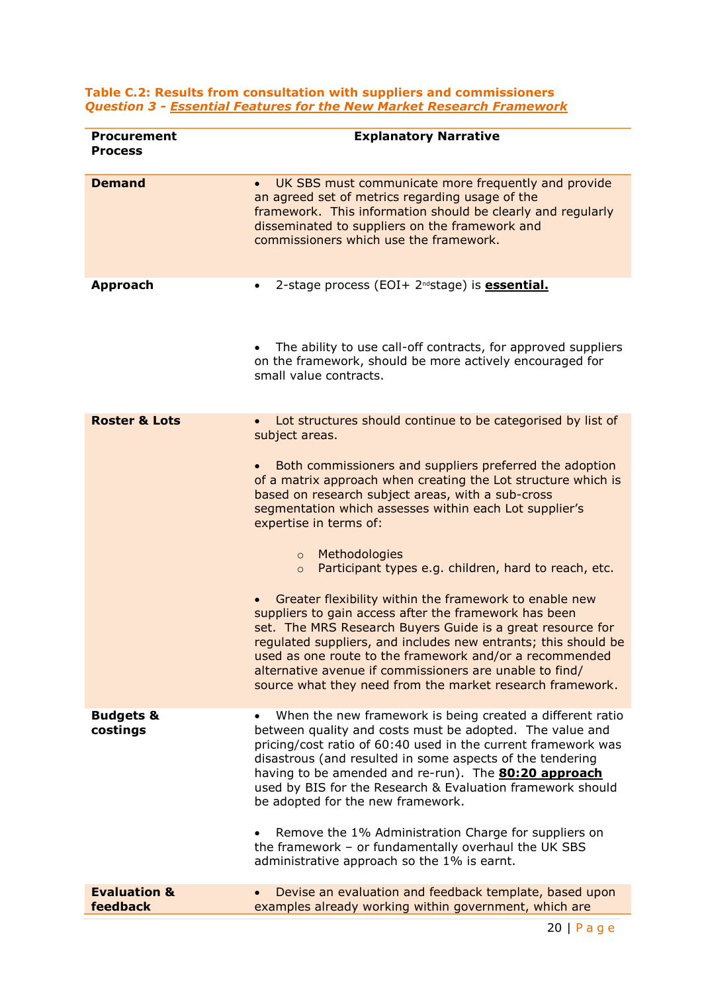#### **Table C.2: Results from consultation with suppliers and commissioners**  *Question 3 - Essential Features for the New Market Research Framework*

| <b>Procurement</b><br><b>Process</b> | <b>Explanatory Narrative</b>                                                                                                                                                                                                                                                                                                                                                                                                                                                                                                                                                                                                                                                                                                                                                                                                                                                                                      |
|--------------------------------------|-------------------------------------------------------------------------------------------------------------------------------------------------------------------------------------------------------------------------------------------------------------------------------------------------------------------------------------------------------------------------------------------------------------------------------------------------------------------------------------------------------------------------------------------------------------------------------------------------------------------------------------------------------------------------------------------------------------------------------------------------------------------------------------------------------------------------------------------------------------------------------------------------------------------|
| <b>Demand</b>                        | UK SBS must communicate more frequently and provide<br>$\bullet$<br>an agreed set of metrics regarding usage of the<br>framework. This information should be clearly and regularly<br>disseminated to suppliers on the framework and<br>commissioners which use the framework.                                                                                                                                                                                                                                                                                                                                                                                                                                                                                                                                                                                                                                    |
| <b>Approach</b>                      | 2-stage process (EOI+ 2 <sup>nd</sup> stage) is <b>essential.</b><br>٠<br>The ability to use call-off contracts, for approved suppliers<br>on the framework, should be more actively encouraged for<br>small value contracts.                                                                                                                                                                                                                                                                                                                                                                                                                                                                                                                                                                                                                                                                                     |
| <b>Roster &amp; Lots</b>             | Lot structures should continue to be categorised by list of<br>$\bullet$<br>subject areas.<br>Both commissioners and suppliers preferred the adoption<br>of a matrix approach when creating the Lot structure which is<br>based on research subject areas, with a sub-cross<br>segmentation which assesses within each Lot supplier's<br>expertise in terms of:<br>Methodologies<br>$\circ$<br>Participant types e.g. children, hard to reach, etc.<br>$\circ$<br>Greater flexibility within the framework to enable new<br>$\bullet$<br>suppliers to gain access after the framework has been<br>set. The MRS Research Buyers Guide is a great resource for<br>regulated suppliers, and includes new entrants; this should be<br>used as one route to the framework and/or a recommended<br>alternative avenue if commissioners are unable to find/<br>source what they need from the market research framework. |
| <b>Budgets &amp;</b><br>costings     | When the new framework is being created a different ratio<br>$\bullet$<br>between quality and costs must be adopted. The value and<br>pricing/cost ratio of 60:40 used in the current framework was<br>disastrous (and resulted in some aspects of the tendering<br>having to be amended and re-run). The <b>80:20 approach</b><br>used by BIS for the Research & Evaluation framework should<br>be adopted for the new framework.<br>Remove the 1% Administration Charge for suppliers on<br>the framework - or fundamentally overhaul the UK SBS<br>administrative approach so the 1% is earnt.                                                                                                                                                                                                                                                                                                                 |
| <b>Evaluation &amp;</b><br>feedback  | Devise an evaluation and feedback template, based upon<br>examples already working within government, which are                                                                                                                                                                                                                                                                                                                                                                                                                                                                                                                                                                                                                                                                                                                                                                                                   |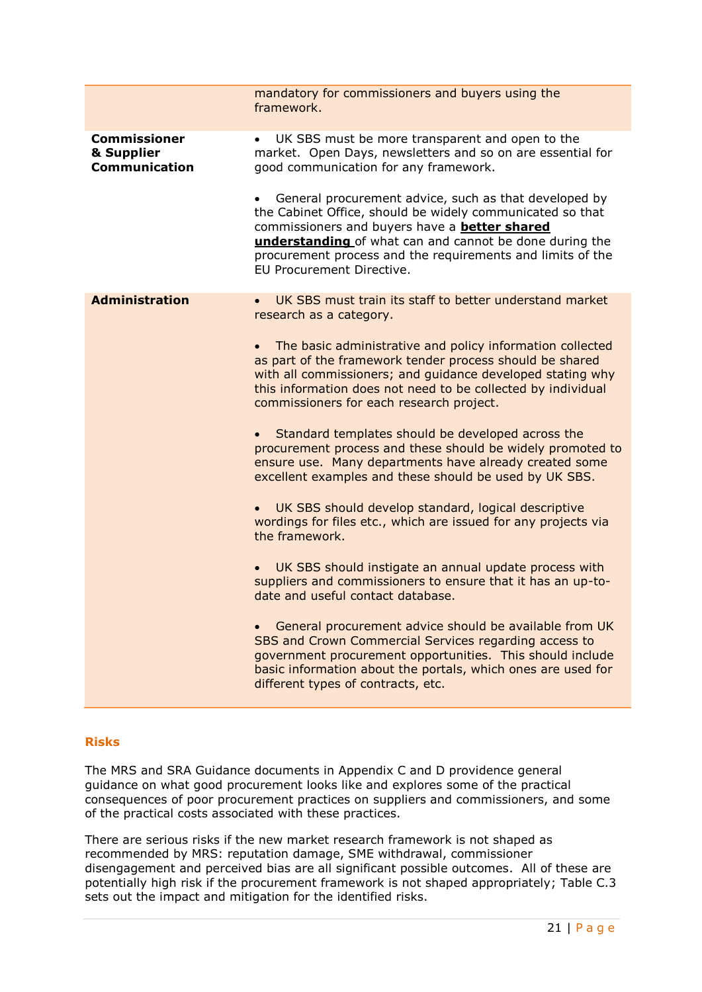|                                                           | mandatory for commissioners and buyers using the<br>framework.                                                                                                                                                                                                                                                                                                                                                                                                                                                                                                                                                                                                                                                                                                                                                                                                                                                                                                                                                                                                                                                                                                                                                             |
|-----------------------------------------------------------|----------------------------------------------------------------------------------------------------------------------------------------------------------------------------------------------------------------------------------------------------------------------------------------------------------------------------------------------------------------------------------------------------------------------------------------------------------------------------------------------------------------------------------------------------------------------------------------------------------------------------------------------------------------------------------------------------------------------------------------------------------------------------------------------------------------------------------------------------------------------------------------------------------------------------------------------------------------------------------------------------------------------------------------------------------------------------------------------------------------------------------------------------------------------------------------------------------------------------|
| <b>Commissioner</b><br>& Supplier<br><b>Communication</b> | UK SBS must be more transparent and open to the<br>market. Open Days, newsletters and so on are essential for<br>good communication for any framework.<br>General procurement advice, such as that developed by<br>the Cabinet Office, should be widely communicated so that<br>commissioners and buyers have a <b>better shared</b><br>understanding of what can and cannot be done during the<br>procurement process and the requirements and limits of the<br>EU Procurement Directive.                                                                                                                                                                                                                                                                                                                                                                                                                                                                                                                                                                                                                                                                                                                                 |
| <b>Administration</b>                                     | UK SBS must train its staff to better understand market<br>research as a category.<br>The basic administrative and policy information collected<br>as part of the framework tender process should be shared<br>with all commissioners; and guidance developed stating why<br>this information does not need to be collected by individual<br>commissioners for each research project.<br>Standard templates should be developed across the<br>procurement process and these should be widely promoted to<br>ensure use. Many departments have already created some<br>excellent examples and these should be used by UK SBS.<br>UK SBS should develop standard, logical descriptive<br>wordings for files etc., which are issued for any projects via<br>the framework.<br>UK SBS should instigate an annual update process with<br>suppliers and commissioners to ensure that it has an up-to-<br>date and useful contact database.<br>General procurement advice should be available from UK<br>SBS and Crown Commercial Services regarding access to<br>government procurement opportunities. This should include<br>basic information about the portals, which ones are used for<br>different types of contracts, etc. |

## **Risks**

The MRS and SRA Guidance documents in Appendix C and D providence general guidance on what good procurement looks like and explores some of the practical consequences of poor procurement practices on suppliers and commissioners, and some of the practical costs associated with these practices.

There are serious risks if the new market research framework is not shaped as recommended by MRS: reputation damage, SME withdrawal, commissioner disengagement and perceived bias are all significant possible outcomes. All of these are potentially high risk if the procurement framework is not shaped appropriately; Table C.3 sets out the impact and mitigation for the identified risks.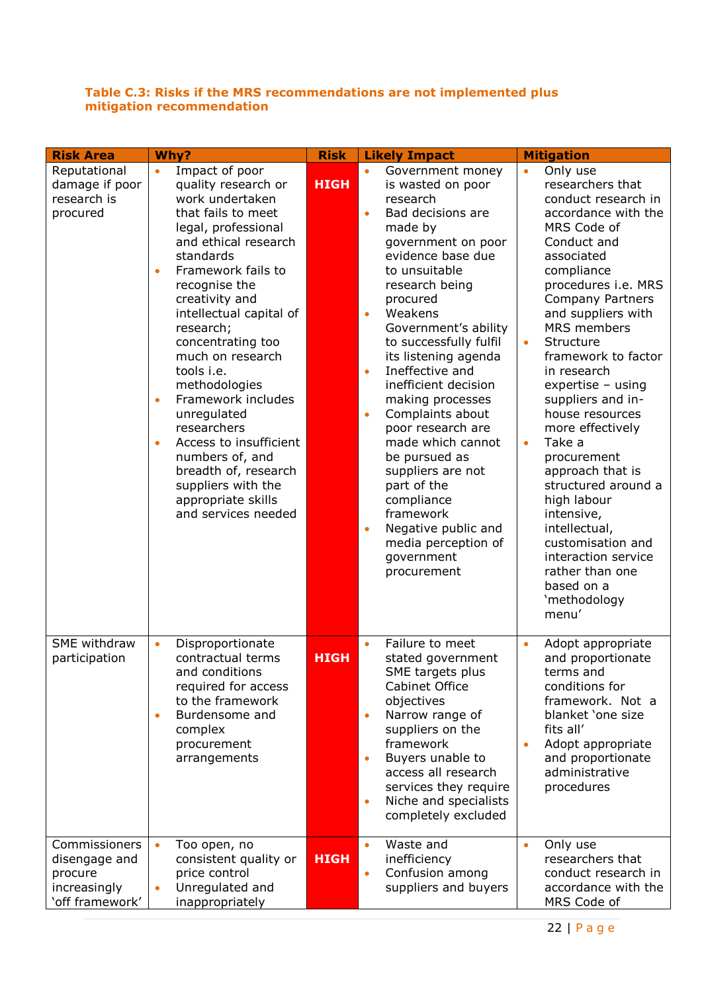## **Table C.3: Risks if the MRS recommendations are not implemented plus mitigation recommendation**

| <b>Risk Area</b>                                                             | Why?                                                                                                                                                                                                                                                                                                                                                                                                                                                                                                                                                                | <b>Risk</b> | <b>Likely Impact</b>                                                                                                                                                                                                                                                                                                                                                                                                                                                                                                                                                                                                      | <b>Mitigation</b>                                                                                                                                                                                                                                                                                                                                                                                                                                                                                                                                                                                                                |
|------------------------------------------------------------------------------|---------------------------------------------------------------------------------------------------------------------------------------------------------------------------------------------------------------------------------------------------------------------------------------------------------------------------------------------------------------------------------------------------------------------------------------------------------------------------------------------------------------------------------------------------------------------|-------------|---------------------------------------------------------------------------------------------------------------------------------------------------------------------------------------------------------------------------------------------------------------------------------------------------------------------------------------------------------------------------------------------------------------------------------------------------------------------------------------------------------------------------------------------------------------------------------------------------------------------------|----------------------------------------------------------------------------------------------------------------------------------------------------------------------------------------------------------------------------------------------------------------------------------------------------------------------------------------------------------------------------------------------------------------------------------------------------------------------------------------------------------------------------------------------------------------------------------------------------------------------------------|
| Reputational<br>damage if poor<br>research is<br>procured                    | Impact of poor<br>$\bullet$<br>quality research or<br>work undertaken<br>that fails to meet<br>legal, professional<br>and ethical research<br>standards<br>Framework fails to<br>$\bullet$<br>recognise the<br>creativity and<br>intellectual capital of<br>research;<br>concentrating too<br>much on research<br>tools i.e.<br>methodologies<br>Framework includes<br>$\bullet$<br>unregulated<br>researchers<br>Access to insufficient<br>$\bullet$<br>numbers of, and<br>breadth of, research<br>suppliers with the<br>appropriate skills<br>and services needed | <b>HIGH</b> | Government money<br>is wasted on poor<br>research<br>Bad decisions are<br>$\bullet$<br>made by<br>government on poor<br>evidence base due<br>to unsuitable<br>research being<br>procured<br>Weakens<br>$\bullet$<br>Government's ability<br>to successfully fulfil<br>its listening agenda<br>Ineffective and<br>$\bullet$<br>inefficient decision<br>making processes<br>Complaints about<br>$\bullet$<br>poor research are<br>made which cannot<br>be pursued as<br>suppliers are not<br>part of the<br>compliance<br>framework<br>Negative public and<br>$\bullet$<br>media perception of<br>government<br>procurement | Only use<br>$\bullet$<br>researchers that<br>conduct research in<br>accordance with the<br>MRS Code of<br>Conduct and<br>associated<br>compliance<br>procedures i.e. MRS<br><b>Company Partners</b><br>and suppliers with<br>MRS members<br>Structure<br>$\bullet$<br>framework to factor<br>in research<br>$expertise - using$<br>suppliers and in-<br>house resources<br>more effectively<br>Take a<br>$\bullet$<br>procurement<br>approach that is<br>structured around a<br>high labour<br>intensive,<br>intellectual,<br>customisation and<br>interaction service<br>rather than one<br>based on a<br>'methodology<br>menu' |
| SME withdraw<br>participation                                                | Disproportionate<br>$\bullet$<br>contractual terms<br>and conditions<br>required for access<br>to the framework<br>Burdensome and<br>$\bullet$<br>complex<br>procurement<br>arrangements                                                                                                                                                                                                                                                                                                                                                                            | <b>HIGH</b> | Failure to meet<br>stated government<br>SME targets plus<br>Cabinet Office<br>objectives<br>Narrow range of<br>$\bullet$<br>suppliers on the<br>framework<br>Buyers unable to<br>$\bullet$<br>access all research<br>services they require<br>Niche and specialists<br>$\bullet$<br>completely excluded                                                                                                                                                                                                                                                                                                                   | Adopt appropriate<br>$\bullet$<br>and proportionate<br>terms and<br>conditions for<br>framework. Not a<br>blanket 'one size<br>fits all'<br>Adopt appropriate<br>and proportionate<br>administrative<br>procedures                                                                                                                                                                                                                                                                                                                                                                                                               |
| Commissioners<br>disengage and<br>procure<br>increasingly<br>'off framework' | Too open, no<br>consistent quality or<br>price control<br>Unregulated and<br>$\bullet$<br>inappropriately                                                                                                                                                                                                                                                                                                                                                                                                                                                           | <b>HIGH</b> | Waste and<br>$\bullet$<br>inefficiency<br>Confusion among<br>$\bullet$<br>suppliers and buyers                                                                                                                                                                                                                                                                                                                                                                                                                                                                                                                            | Only use<br>researchers that<br>conduct research in<br>accordance with the<br>MRS Code of                                                                                                                                                                                                                                                                                                                                                                                                                                                                                                                                        |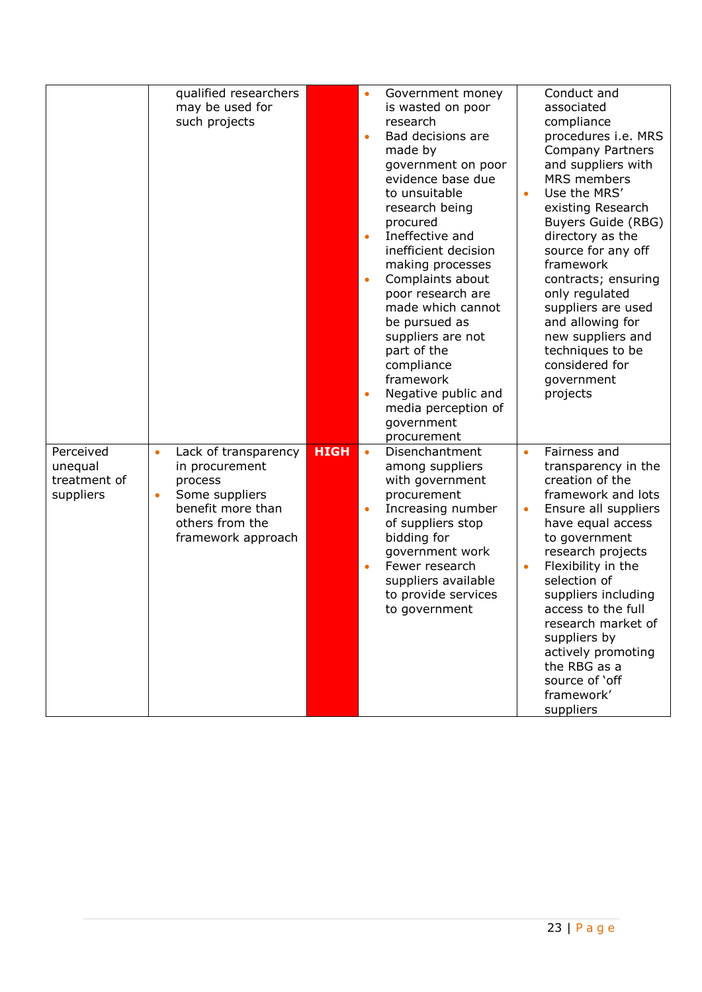|                                                   | qualified researchers<br>may be used for<br>such projects                                                                                                   |             | Government money<br>$\bullet$<br>is wasted on poor<br>research<br>Bad decisions are<br>$\bullet$<br>made by<br>government on poor<br>evidence base due<br>to unsuitable<br>research being<br>procured<br>Ineffective and<br>$\bullet$<br>inefficient decision<br>making processes<br>Complaints about<br>$\bullet$<br>poor research are<br>made which cannot<br>be pursued as<br>suppliers are not<br>part of the<br>compliance<br>framework<br>Negative public and<br>$\bullet$<br>media perception of | Conduct and<br>associated<br>compliance<br>procedures i.e. MRS<br><b>Company Partners</b><br>and suppliers with<br>MRS members<br>Use the MRS'<br>$\bullet$<br>existing Research<br>Buyers Guide (RBG)<br>directory as the<br>source for any off<br>framework<br>contracts; ensuring<br>only regulated<br>suppliers are used<br>and allowing for<br>new suppliers and<br>techniques to be<br>considered for<br>government<br>projects |
|---------------------------------------------------|-------------------------------------------------------------------------------------------------------------------------------------------------------------|-------------|---------------------------------------------------------------------------------------------------------------------------------------------------------------------------------------------------------------------------------------------------------------------------------------------------------------------------------------------------------------------------------------------------------------------------------------------------------------------------------------------------------|---------------------------------------------------------------------------------------------------------------------------------------------------------------------------------------------------------------------------------------------------------------------------------------------------------------------------------------------------------------------------------------------------------------------------------------|
| Perceived<br>unequal<br>treatment of<br>suppliers | Lack of transparency<br>$\bullet$<br>in procurement<br>process<br>Some suppliers<br>$\bullet$<br>benefit more than<br>others from the<br>framework approach | <b>HIGH</b> | government<br>procurement<br>Disenchantment<br>$\bullet$<br>among suppliers<br>with government<br>procurement<br>Increasing number<br>$\bullet$<br>of suppliers stop<br>bidding for<br>government work<br>Fewer research<br>$\bullet$<br>suppliers available<br>to provide services<br>to government                                                                                                                                                                                                    | Fairness and<br>$\bullet$<br>transparency in the<br>creation of the<br>framework and lots<br>Ensure all suppliers<br>$\bullet$<br>have equal access<br>to government<br>research projects<br>Flexibility in the<br>$\bullet$<br>selection of<br>suppliers including<br>access to the full<br>research market of<br>suppliers by<br>actively promoting<br>the RBG as a<br>source of 'off<br>framework'<br>suppliers                    |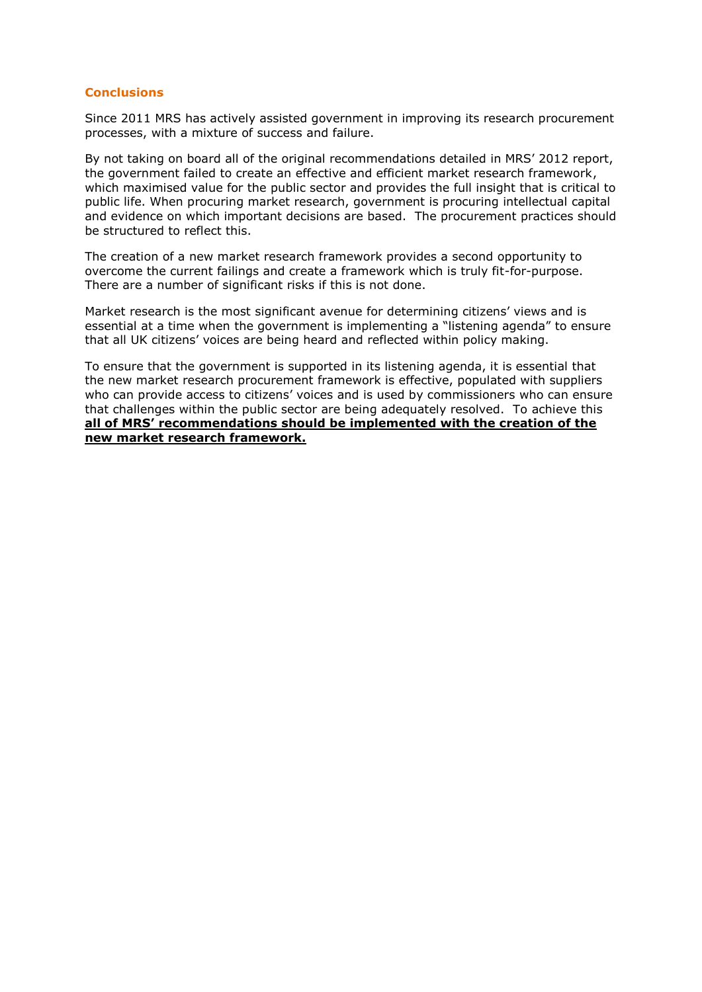#### **Conclusions**

Since 2011 MRS has actively assisted government in improving its research procurement processes, with a mixture of success and failure.

By not taking on board all of the original recommendations detailed in MRS' 2012 report, the government failed to create an effective and efficient market research framework, which maximised value for the public sector and provides the full insight that is critical to public life. When procuring market research, government is procuring intellectual capital and evidence on which important decisions are based. The procurement practices should be structured to reflect this.

The creation of a new market research framework provides a second opportunity to overcome the current failings and create a framework which is truly fit-for-purpose. There are a number of significant risks if this is not done.

Market research is the most significant avenue for determining citizens' views and is essential at a time when the government is implementing a "listening agenda" to ensure that all UK citizens' voices are being heard and reflected within policy making.

To ensure that the government is supported in its listening agenda, it is essential that the new market research procurement framework is effective, populated with suppliers who can provide access to citizens' voices and is used by commissioners who can ensure that challenges within the public sector are being adequately resolved. To achieve this **all of MRS' recommendations should be implemented with the creation of the new market research framework.**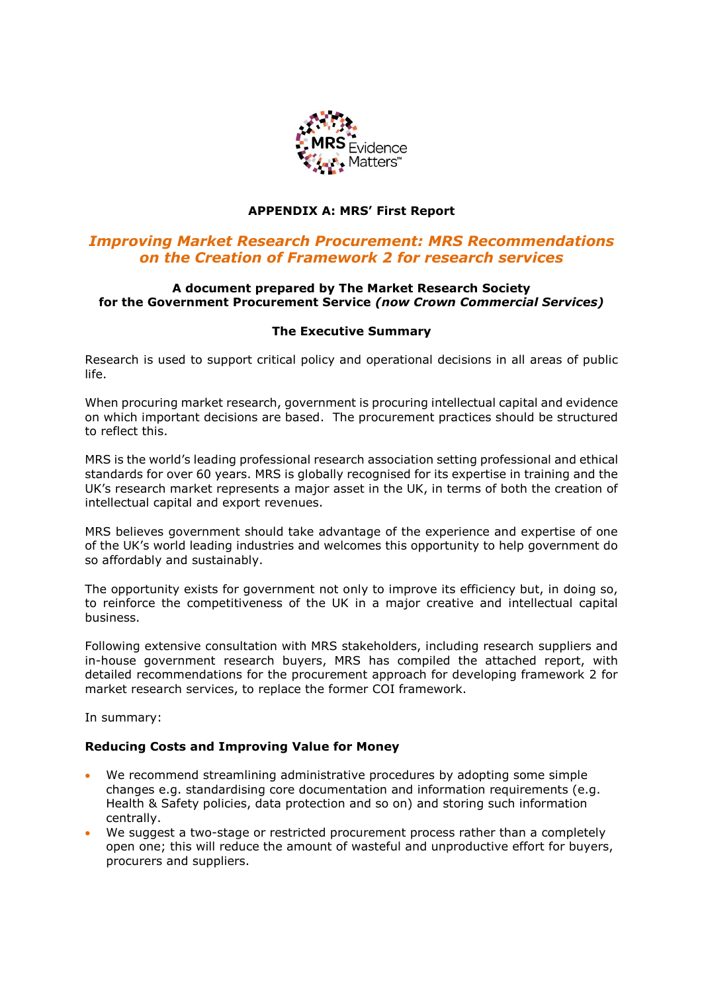

## **APPENDIX A: MRS' First Report**

## *Improving Market Research Procurement: MRS Recommendations on the Creation of Framework 2 for research services*

## **A document prepared by The Market Research Society for the Government Procurement Service** *(now Crown Commercial Services)*

## **The Executive Summary**

Research is used to support critical policy and operational decisions in all areas of public life.

When procuring market research, government is procuring intellectual capital and evidence on which important decisions are based. The procurement practices should be structured to reflect this.

MRS is the world's leading professional research association setting professional and ethical standards for over 60 years. MRS is globally recognised for its expertise in training and the UK's research market represents a major asset in the UK, in terms of both the creation of intellectual capital and export revenues.

MRS believes government should take advantage of the experience and expertise of one of the UK's world leading industries and welcomes this opportunity to help government do so affordably and sustainably.

The opportunity exists for government not only to improve its efficiency but, in doing so, to reinforce the competitiveness of the UK in a major creative and intellectual capital business.

Following extensive consultation with MRS stakeholders, including research suppliers and in-house government research buyers, MRS has compiled the attached report, with detailed recommendations for the procurement approach for developing framework 2 for market research services, to replace the former COI framework.

In summary:

## **Reducing Costs and Improving Value for Money**

- We recommend streamlining administrative procedures by adopting some simple changes e.g. standardising core documentation and information requirements (e.g. Health & Safety policies, data protection and so on) and storing such information centrally.
- We suggest a two-stage or restricted procurement process rather than a completely open one; this will reduce the amount of wasteful and unproductive effort for buyers, procurers and suppliers.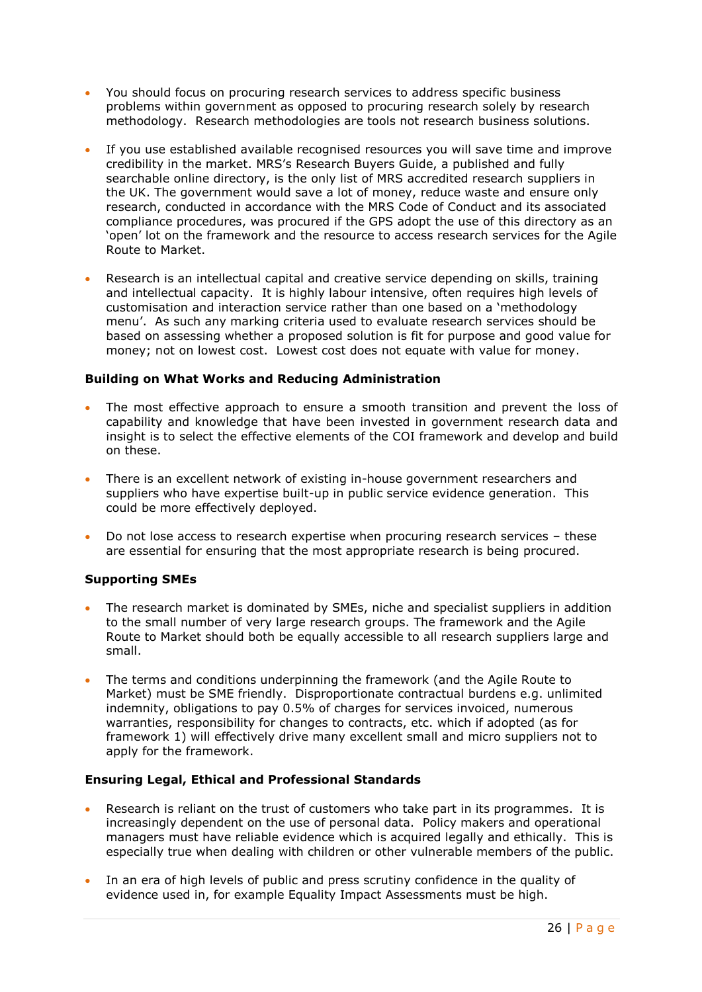- You should focus on procuring research services to address specific business problems within government as opposed to procuring research solely by research methodology. Research methodologies are tools not research business solutions.
- If you use established available recognised resources you will save time and improve credibility in the market. MRS's Research Buyers Guide, a published and fully searchable online directory, is the only list of MRS accredited research suppliers in the UK. The government would save a lot of money, reduce waste and ensure only research, conducted in accordance with the MRS Code of Conduct and its associated compliance procedures, was procured if the GPS adopt the use of this directory as an 'open' lot on the framework and the resource to access research services for the Agile Route to Market.
- Research is an intellectual capital and creative service depending on skills, training and intellectual capacity. It is highly labour intensive, often requires high levels of customisation and interaction service rather than one based on a 'methodology menu'. As such any marking criteria used to evaluate research services should be based on assessing whether a proposed solution is fit for purpose and good value for money; not on lowest cost. Lowest cost does not equate with value for money.

## **Building on What Works and Reducing Administration**

- The most effective approach to ensure a smooth transition and prevent the loss of capability and knowledge that have been invested in government research data and insight is to select the effective elements of the COI framework and develop and build on these.
- There is an excellent network of existing in-house government researchers and suppliers who have expertise built-up in public service evidence generation. This could be more effectively deployed.
- Do not lose access to research expertise when procuring research services these are essential for ensuring that the most appropriate research is being procured.

## **Supporting SMEs**

- The research market is dominated by SMEs, niche and specialist suppliers in addition to the small number of very large research groups. The framework and the Agile Route to Market should both be equally accessible to all research suppliers large and small.
- The terms and conditions underpinning the framework (and the Agile Route to Market) must be SME friendly. Disproportionate contractual burdens e.g. unlimited indemnity, obligations to pay 0.5% of charges for services invoiced, numerous warranties, responsibility for changes to contracts, etc. which if adopted (as for framework 1) will effectively drive many excellent small and micro suppliers not to apply for the framework.

## **Ensuring Legal, Ethical and Professional Standards**

- Research is reliant on the trust of customers who take part in its programmes. It is increasingly dependent on the use of personal data. Policy makers and operational managers must have reliable evidence which is acquired legally and ethically. This is especially true when dealing with children or other vulnerable members of the public.
- In an era of high levels of public and press scrutiny confidence in the quality of evidence used in, for example Equality Impact Assessments must be high.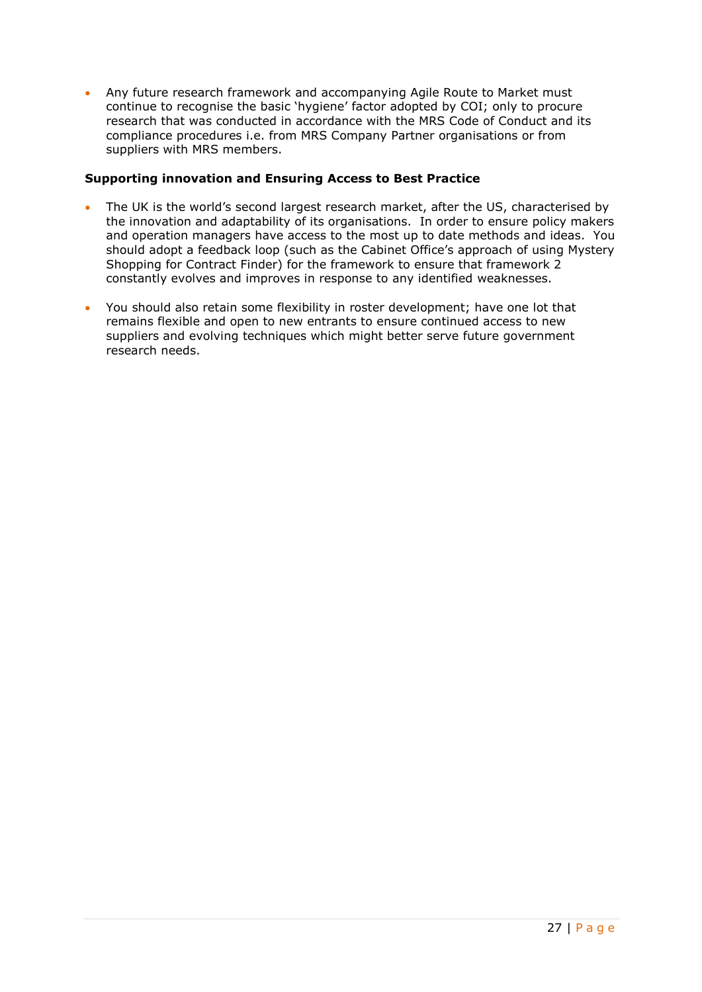Any future research framework and accompanying Agile Route to Market must continue to recognise the basic 'hygiene' factor adopted by COI; only to procure research that was conducted in accordance with the MRS Code of Conduct and its compliance procedures i.e. from MRS Company Partner organisations or from suppliers with MRS members.

## **Supporting innovation and Ensuring Access to Best Practice**

- The UK is the world's second largest research market, after the US, characterised by the innovation and adaptability of its organisations. In order to ensure policy makers and operation managers have access to the most up to date methods and ideas. You should adopt a feedback loop (such as the Cabinet Office's approach of using Mystery Shopping for Contract Finder) for the framework to ensure that framework 2 constantly evolves and improves in response to any identified weaknesses.
- You should also retain some flexibility in roster development; have one lot that remains flexible and open to new entrants to ensure continued access to new suppliers and evolving techniques which might better serve future government research needs.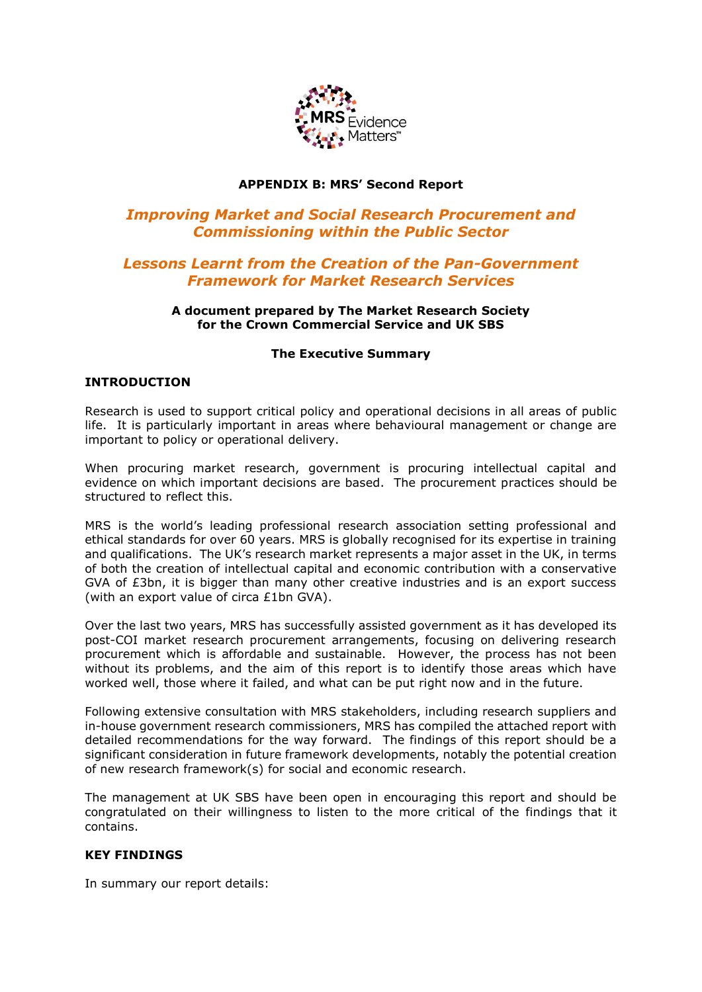

## **APPENDIX B: MRS' Second Report**

## *Improving Market and Social Research Procurement and Commissioning within the Public Sector*

## *Lessons Learnt from the Creation of the Pan-Government Framework for Market Research Services*

## **A document prepared by The Market Research Society for the Crown Commercial Service and UK SBS**

## **The Executive Summary**

## **INTRODUCTION**

Research is used to support critical policy and operational decisions in all areas of public life. It is particularly important in areas where behavioural management or change are important to policy or operational delivery.

When procuring market research, government is procuring intellectual capital and evidence on which important decisions are based. The procurement practices should be structured to reflect this.

MRS is the world's leading professional research association setting professional and ethical standards for over 60 years. MRS is globally recognised for its expertise in training and qualifications. The UK's research market represents a major asset in the UK, in terms of both the creation of intellectual capital and economic contribution with a conservative GVA of £3bn, it is bigger than many other creative industries and is an export success (with an export value of circa £1bn GVA).

Over the last two years, MRS has successfully assisted government as it has developed its post-COI market research procurement arrangements, focusing on delivering research procurement which is affordable and sustainable. However, the process has not been without its problems, and the aim of this report is to identify those areas which have worked well, those where it failed, and what can be put right now and in the future.

Following extensive consultation with MRS stakeholders, including research suppliers and in-house government research commissioners, MRS has compiled the attached report with detailed recommendations for the way forward. The findings of this report should be a significant consideration in future framework developments, notably the potential creation of new research framework(s) for social and economic research.

The management at UK SBS have been open in encouraging this report and should be congratulated on their willingness to listen to the more critical of the findings that it contains.

## **KEY FINDINGS**

In summary our report details: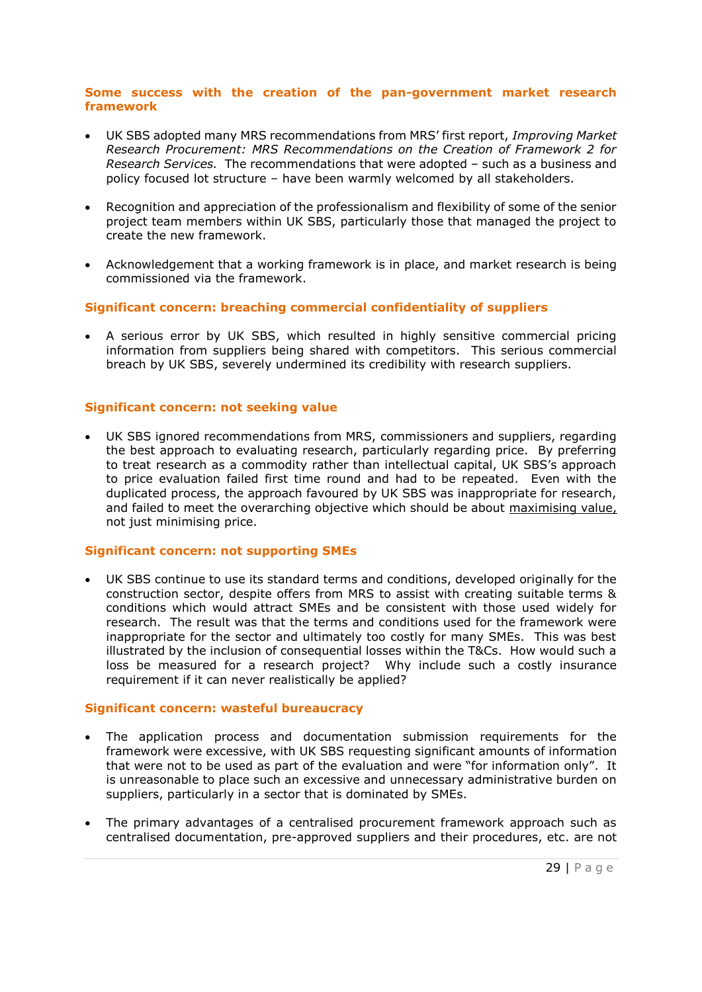## **Some success with the creation of the pan-government market research framework**

- UK SBS adopted many MRS recommendations from MRS' first report, *Improving Market Research Procurement: MRS Recommendations on the Creation of Framework 2 for Research Services.* The recommendations that were adopted – such as a business and policy focused lot structure – have been warmly welcomed by all stakeholders.
- Recognition and appreciation of the professionalism and flexibility of some of the senior project team members within UK SBS, particularly those that managed the project to create the new framework.
- Acknowledgement that a working framework is in place, and market research is being commissioned via the framework.

## **Significant concern: breaching commercial confidentiality of suppliers**

 A serious error by UK SBS, which resulted in highly sensitive commercial pricing information from suppliers being shared with competitors. This serious commercial breach by UK SBS, severely undermined its credibility with research suppliers.

## **Significant concern: not seeking value**

 UK SBS ignored recommendations from MRS, commissioners and suppliers, regarding the best approach to evaluating research, particularly regarding price. By preferring to treat research as a commodity rather than intellectual capital, UK SBS's approach to price evaluation failed first time round and had to be repeated. Even with the duplicated process, the approach favoured by UK SBS was inappropriate for research, and failed to meet the overarching objective which should be about maximising value, not just minimising price.

## **Significant concern: not supporting SMEs**

 UK SBS continue to use its standard terms and conditions, developed originally for the construction sector, despite offers from MRS to assist with creating suitable terms & conditions which would attract SMEs and be consistent with those used widely for research. The result was that the terms and conditions used for the framework were inappropriate for the sector and ultimately too costly for many SMEs. This was best illustrated by the inclusion of consequential losses within the T&Cs. How would such a loss be measured for a research project? Why include such a costly insurance requirement if it can never realistically be applied?

## **Significant concern: wasteful bureaucracy**

- The application process and documentation submission requirements for the framework were excessive, with UK SBS requesting significant amounts of information that were not to be used as part of the evaluation and were "for information only". It is unreasonable to place such an excessive and unnecessary administrative burden on suppliers, particularly in a sector that is dominated by SMEs.
- The primary advantages of a centralised procurement framework approach such as centralised documentation, pre-approved suppliers and their procedures, etc. are not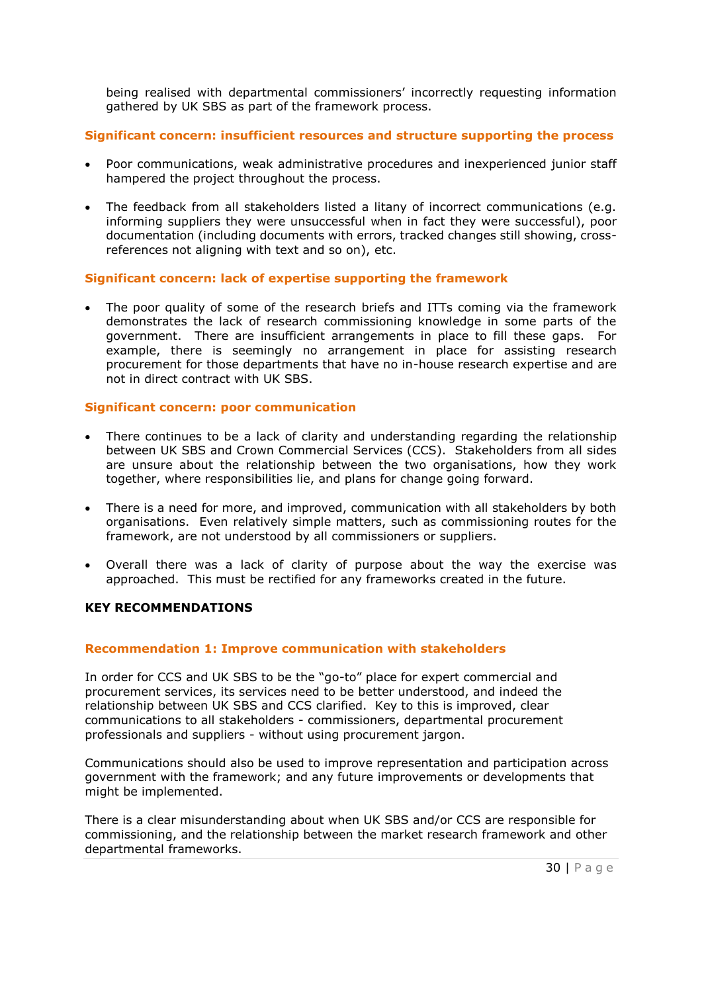being realised with departmental commissioners' incorrectly requesting information gathered by UK SBS as part of the framework process.

## **Significant concern: insufficient resources and structure supporting the process**

- Poor communications, weak administrative procedures and inexperienced junior staff hampered the project throughout the process.
- The feedback from all stakeholders listed a litany of incorrect communications (e.g. informing suppliers they were unsuccessful when in fact they were successful), poor documentation (including documents with errors, tracked changes still showing, crossreferences not aligning with text and so on), etc.

## **Significant concern: lack of expertise supporting the framework**

 The poor quality of some of the research briefs and ITTs coming via the framework demonstrates the lack of research commissioning knowledge in some parts of the government. There are insufficient arrangements in place to fill these gaps. For example, there is seemingly no arrangement in place for assisting research procurement for those departments that have no in-house research expertise and are not in direct contract with UK SBS.

## **Significant concern: poor communication**

- There continues to be a lack of clarity and understanding regarding the relationship between UK SBS and Crown Commercial Services (CCS). Stakeholders from all sides are unsure about the relationship between the two organisations, how they work together, where responsibilities lie, and plans for change going forward.
- There is a need for more, and improved, communication with all stakeholders by both organisations. Even relatively simple matters, such as commissioning routes for the framework, are not understood by all commissioners or suppliers.
- Overall there was a lack of clarity of purpose about the way the exercise was approached. This must be rectified for any frameworks created in the future.

## **KEY RECOMMENDATIONS**

## **Recommendation 1: Improve communication with stakeholders**

In order for CCS and UK SBS to be the "go-to" place for expert commercial and procurement services, its services need to be better understood, and indeed the relationship between UK SBS and CCS clarified. Key to this is improved, clear communications to all stakeholders - commissioners, departmental procurement professionals and suppliers - without using procurement jargon.

Communications should also be used to improve representation and participation across government with the framework; and any future improvements or developments that might be implemented.

There is a clear misunderstanding about when UK SBS and/or CCS are responsible for commissioning, and the relationship between the market research framework and other departmental frameworks.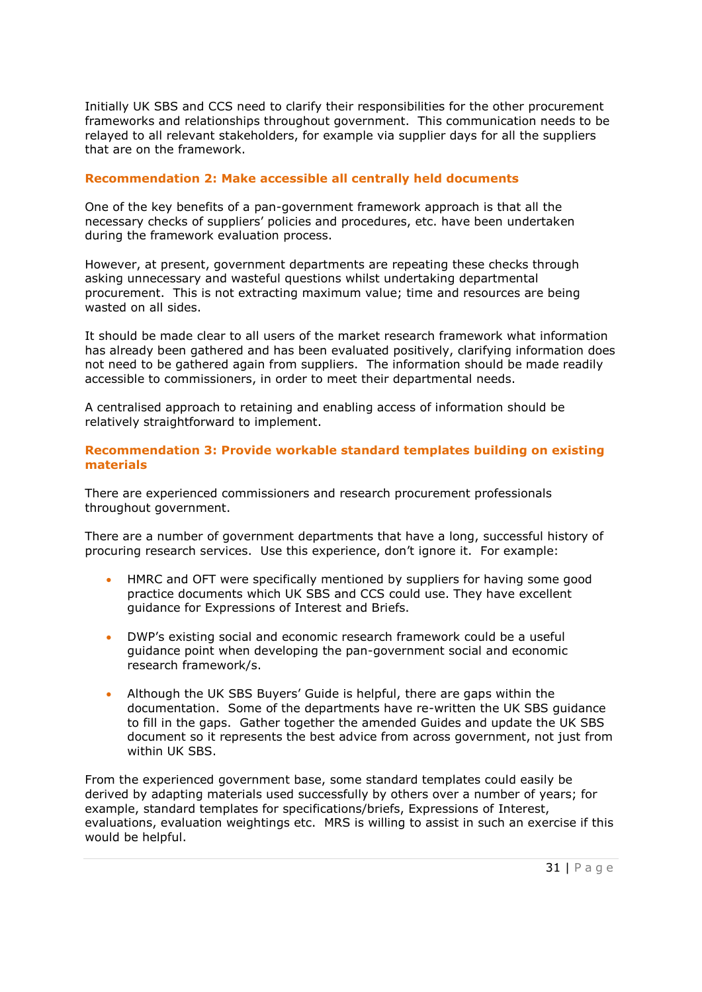Initially UK SBS and CCS need to clarify their responsibilities for the other procurement frameworks and relationships throughout government. This communication needs to be relayed to all relevant stakeholders, for example via supplier days for all the suppliers that are on the framework.

## **Recommendation 2: Make accessible all centrally held documents**

One of the key benefits of a pan-government framework approach is that all the necessary checks of suppliers' policies and procedures, etc. have been undertaken during the framework evaluation process.

However, at present, government departments are repeating these checks through asking unnecessary and wasteful questions whilst undertaking departmental procurement. This is not extracting maximum value; time and resources are being wasted on all sides.

It should be made clear to all users of the market research framework what information has already been gathered and has been evaluated positively, clarifying information does not need to be gathered again from suppliers. The information should be made readily accessible to commissioners, in order to meet their departmental needs.

A centralised approach to retaining and enabling access of information should be relatively straightforward to implement.

## **Recommendation 3: Provide workable standard templates building on existing materials**

There are experienced commissioners and research procurement professionals throughout government.

There are a number of government departments that have a long, successful history of procuring research services. Use this experience, don't ignore it. For example:

- HMRC and OFT were specifically mentioned by suppliers for having some good practice documents which UK SBS and CCS could use. They have excellent guidance for Expressions of Interest and Briefs.
- DWP's existing social and economic research framework could be a useful guidance point when developing the pan-government social and economic research framework/s.
- Although the UK SBS Buyers' Guide is helpful, there are gaps within the documentation. Some of the departments have re-written the UK SBS guidance to fill in the gaps. Gather together the amended Guides and update the UK SBS document so it represents the best advice from across government, not just from within UK SBS.

From the experienced government base, some standard templates could easily be derived by adapting materials used successfully by others over a number of years; for example, standard templates for specifications/briefs, Expressions of Interest, evaluations, evaluation weightings etc. MRS is willing to assist in such an exercise if this would be helpful.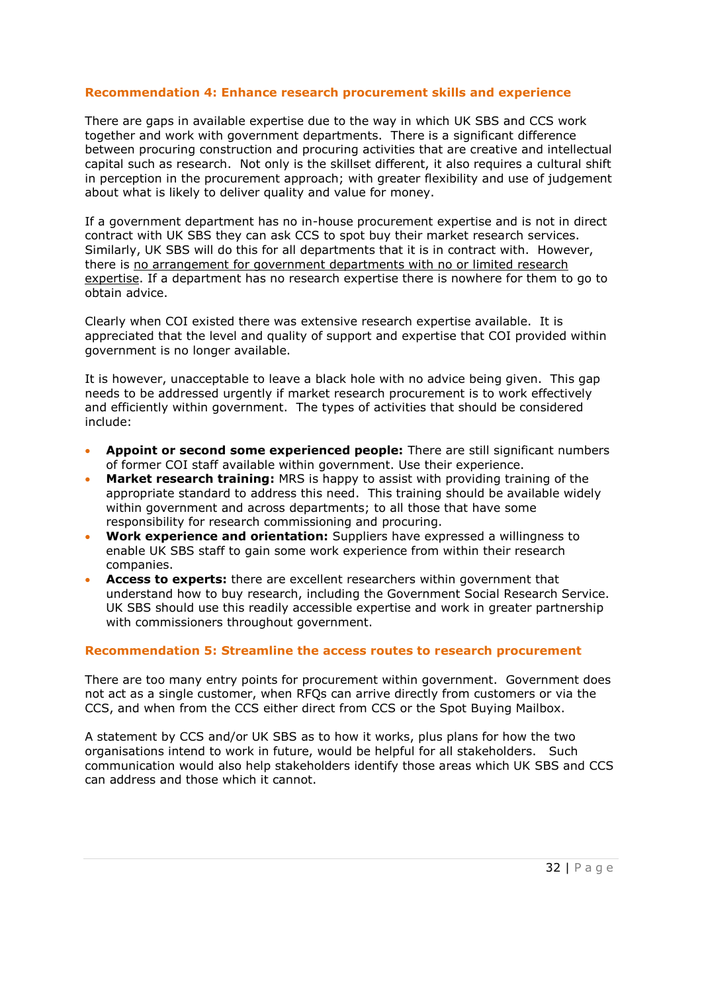## **Recommendation 4: Enhance research procurement skills and experience**

There are gaps in available expertise due to the way in which UK SBS and CCS work together and work with government departments. There is a significant difference between procuring construction and procuring activities that are creative and intellectual capital such as research. Not only is the skillset different, it also requires a cultural shift in perception in the procurement approach; with greater flexibility and use of judgement about what is likely to deliver quality and value for money.

If a government department has no in-house procurement expertise and is not in direct contract with UK SBS they can ask CCS to spot buy their market research services. Similarly, UK SBS will do this for all departments that it is in contract with. However, there is no arrangement for government departments with no or limited research expertise. If a department has no research expertise there is nowhere for them to go to obtain advice.

Clearly when COI existed there was extensive research expertise available. It is appreciated that the level and quality of support and expertise that COI provided within government is no longer available.

It is however, unacceptable to leave a black hole with no advice being given. This gap needs to be addressed urgently if market research procurement is to work effectively and efficiently within government. The types of activities that should be considered include:

- **Appoint or second some experienced people:** There are still significant numbers of former COI staff available within government. Use their experience.
- **Market research training:** MRS is happy to assist with providing training of the appropriate standard to address this need. This training should be available widely within government and across departments; to all those that have some responsibility for research commissioning and procuring.
- **Work experience and orientation:** Suppliers have expressed a willingness to enable UK SBS staff to gain some work experience from within their research companies.
- **Access to experts:** there are excellent researchers within government that understand how to buy research, including the Government Social Research Service. UK SBS should use this readily accessible expertise and work in greater partnership with commissioners throughout government.

## **Recommendation 5: Streamline the access routes to research procurement**

There are too many entry points for procurement within government. Government does not act as a single customer, when RFQs can arrive directly from customers or via the CCS, and when from the CCS either direct from CCS or the Spot Buying Mailbox.

A statement by CCS and/or UK SBS as to how it works, plus plans for how the two organisations intend to work in future, would be helpful for all stakeholders. Such communication would also help stakeholders identify those areas which UK SBS and CCS can address and those which it cannot.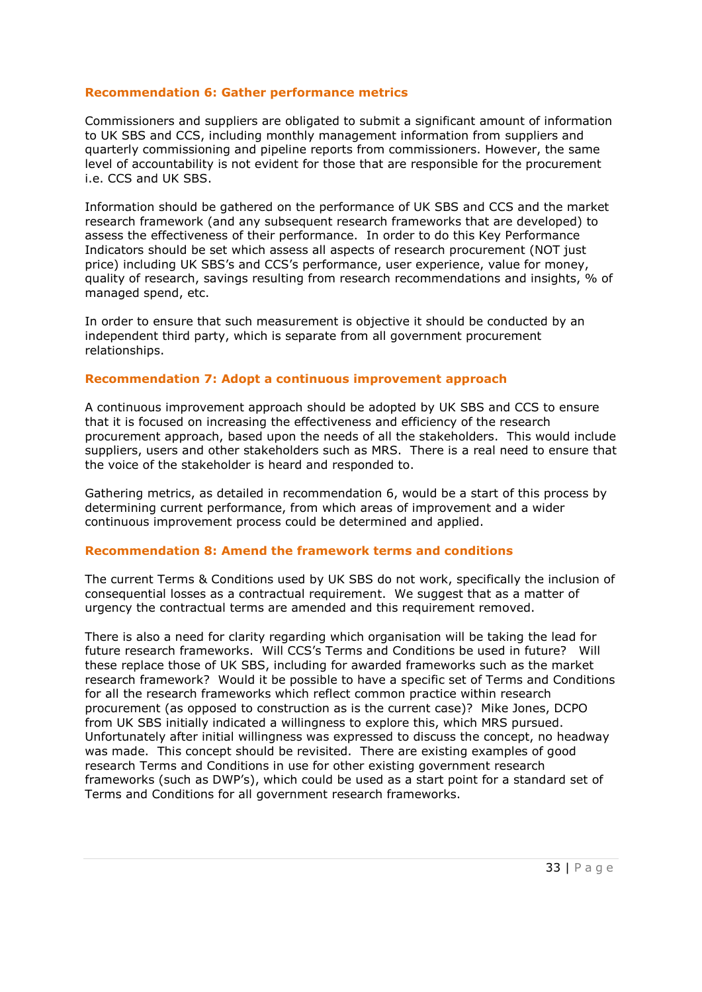## **Recommendation 6: Gather performance metrics**

Commissioners and suppliers are obligated to submit a significant amount of information to UK SBS and CCS, including monthly management information from suppliers and quarterly commissioning and pipeline reports from commissioners. However, the same level of accountability is not evident for those that are responsible for the procurement i.e. CCS and UK SBS.

Information should be gathered on the performance of UK SBS and CCS and the market research framework (and any subsequent research frameworks that are developed) to assess the effectiveness of their performance. In order to do this Key Performance Indicators should be set which assess all aspects of research procurement (NOT just price) including UK SBS's and CCS's performance, user experience, value for money, quality of research, savings resulting from research recommendations and insights, % of managed spend, etc.

In order to ensure that such measurement is objective it should be conducted by an independent third party, which is separate from all government procurement relationships.

## **Recommendation 7: Adopt a continuous improvement approach**

A continuous improvement approach should be adopted by UK SBS and CCS to ensure that it is focused on increasing the effectiveness and efficiency of the research procurement approach, based upon the needs of all the stakeholders. This would include suppliers, users and other stakeholders such as MRS. There is a real need to ensure that the voice of the stakeholder is heard and responded to.

Gathering metrics, as detailed in recommendation 6, would be a start of this process by determining current performance, from which areas of improvement and a wider continuous improvement process could be determined and applied.

## **Recommendation 8: Amend the framework terms and conditions**

The current Terms & Conditions used by UK SBS do not work, specifically the inclusion of consequential losses as a contractual requirement. We suggest that as a matter of urgency the contractual terms are amended and this requirement removed.

There is also a need for clarity regarding which organisation will be taking the lead for future research frameworks. Will CCS's Terms and Conditions be used in future? Will these replace those of UK SBS, including for awarded frameworks such as the market research framework? Would it be possible to have a specific set of Terms and Conditions for all the research frameworks which reflect common practice within research procurement (as opposed to construction as is the current case)? Mike Jones, DCPO from UK SBS initially indicated a willingness to explore this, which MRS pursued. Unfortunately after initial willingness was expressed to discuss the concept, no headway was made. This concept should be revisited. There are existing examples of good research Terms and Conditions in use for other existing government research frameworks (such as DWP's), which could be used as a start point for a standard set of Terms and Conditions for all government research frameworks.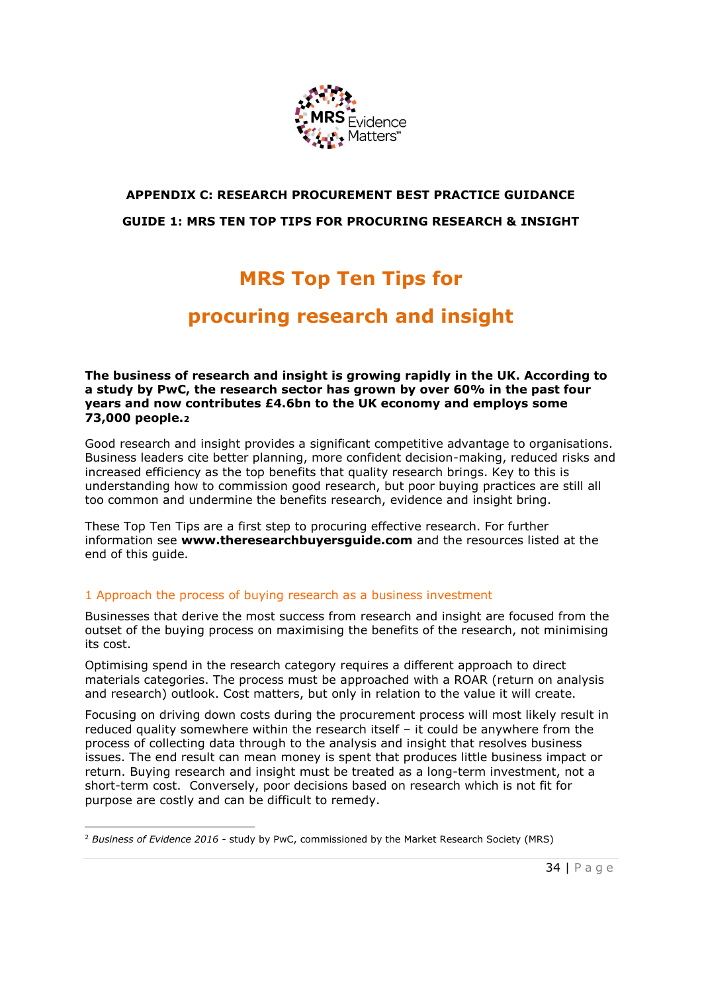

## **APPENDIX C: RESEARCH PROCUREMENT BEST PRACTICE GUIDANCE GUIDE 1: MRS TEN TOP TIPS FOR PROCURING RESEARCH & INSIGHT**

# **MRS Top Ten Tips for**

## **procuring research and insight**

**The business of research and insight is growing rapidly in the UK. According to a study by PwC, the research sector has grown by over 60% in the past four years and now contributes £4.6bn to the UK economy and employs some 73,000 people.<sup>2</sup>**

Good research and insight provides a significant competitive advantage to organisations. Business leaders cite better planning, more confident decision-making, reduced risks and increased efficiency as the top benefits that quality research brings. Key to this is understanding how to commission good research, but poor buying practices are still all too common and undermine the benefits research, evidence and insight bring.

These Top Ten Tips are a first step to procuring effective research. For further information see **[www.theresearchbuyersguide.com](http://www.theresearchbuyersguide.com/)** and the resources listed at the end of this guide.

## 1 Approach the process of buying research as a business investment

Businesses that derive the most success from research and insight are focused from the outset of the buying process on maximising the benefits of the research, not minimising its cost.

Optimising spend in the research category requires a different approach to direct materials categories. The process must be approached with a ROAR (return on analysis and research) outlook. Cost matters, but only in relation to the value it will create.

Focusing on driving down costs during the procurement process will most likely result in reduced quality somewhere within the research itself – it could be anywhere from the process of collecting data through to the analysis and insight that resolves business issues. The end result can mean money is spent that produces little business impact or return. Buying research and insight must be treated as a long-term investment, not a short-term cost. Conversely, poor decisions based on research which is not fit for purpose are costly and can be difficult to remedy.

<sup>1</sup> <sup>2</sup> *Business of Evidence 2016* - study by PwC, commissioned by the Market Research Society (MRS)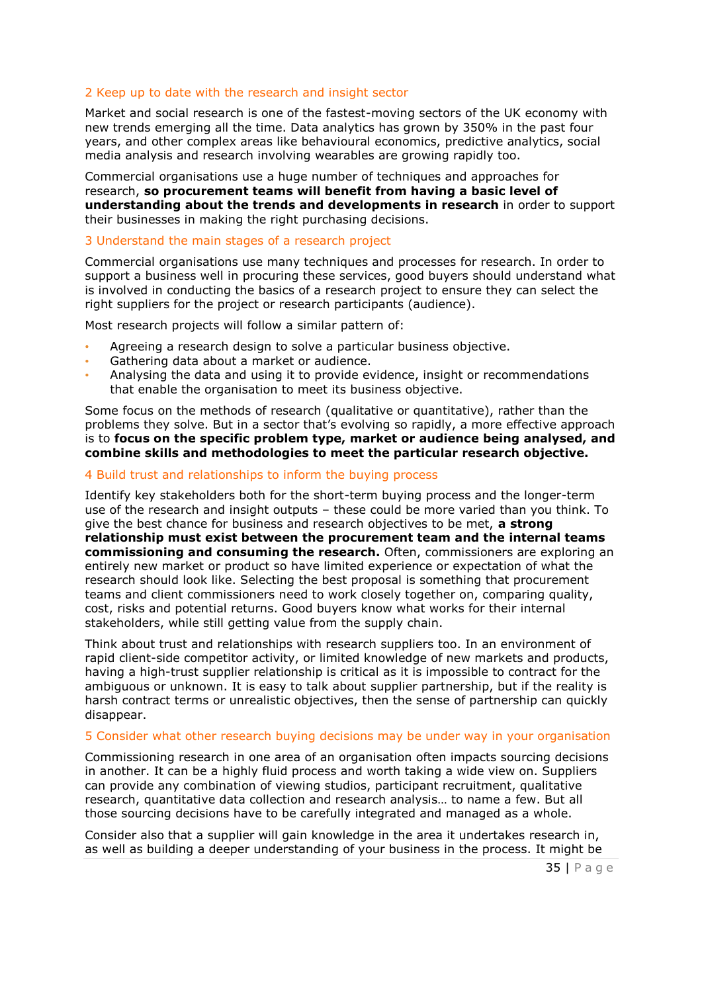## 2 Keep up to date with the research and insight sector

Market and social research is one of the fastest-moving sectors of the UK economy with new trends emerging all the time. Data analytics has grown by 350% in the past four years, and other complex areas like behavioural economics, predictive analytics, social media analysis and research involving wearables are growing rapidly too.

Commercial organisations use a huge number of techniques and approaches for research, **so procurement teams will benefit from having a basic level of understanding about the trends and developments in research** in order to support their businesses in making the right purchasing decisions.

#### 3 Understand the main stages of a research project

Commercial organisations use many techniques and processes for research. In order to support a business well in procuring these services, good buyers should understand what is involved in conducting the basics of a research project to ensure they can select the right suppliers for the project or research participants (audience).

Most research projects will follow a similar pattern of:

- Agreeing a research design to solve a particular business objective.
- Gathering data about a market or audience.
- Analysing the data and using it to provide evidence, insight or recommendations that enable the organisation to meet its business objective.

Some focus on the methods of research (qualitative or quantitative), rather than the problems they solve. But in a sector that's evolving so rapidly, a more effective approach is to **focus on the specific problem type, market or audience being analysed, and combine skills and methodologies to meet the particular research objective.**

#### 4 Build trust and relationships to inform the buying process

Identify key stakeholders both for the short-term buying process and the longer-term use of the research and insight outputs – these could be more varied than you think. To give the best chance for business and research objectives to be met, **a strong relationship must exist between the procurement team and the internal teams commissioning and consuming the research.** Often, commissioners are exploring an entirely new market or product so have limited experience or expectation of what the research should look like. Selecting the best proposal is something that procurement teams and client commissioners need to work closely together on, comparing quality, cost, risks and potential returns. Good buyers know what works for their internal stakeholders, while still getting value from the supply chain.

Think about trust and relationships with research suppliers too. In an environment of rapid client-side competitor activity, or limited knowledge of new markets and products, having a high-trust supplier relationship is critical as it is impossible to contract for the ambiguous or unknown. It is easy to talk about supplier partnership, but if the reality is harsh contract terms or unrealistic objectives, then the sense of partnership can quickly disappear.

#### 5 Consider what other research buying decisions may be under way in your organisation

Commissioning research in one area of an organisation often impacts sourcing decisions in another. It can be a highly fluid process and worth taking a wide view on. Suppliers can provide any combination of viewing studios, participant recruitment, qualitative research, quantitative data collection and research analysis… to name a few. But all those sourcing decisions have to be carefully integrated and managed as a whole.

Consider also that a supplier will gain knowledge in the area it undertakes research in, as well as building a deeper understanding of your business in the process. It might be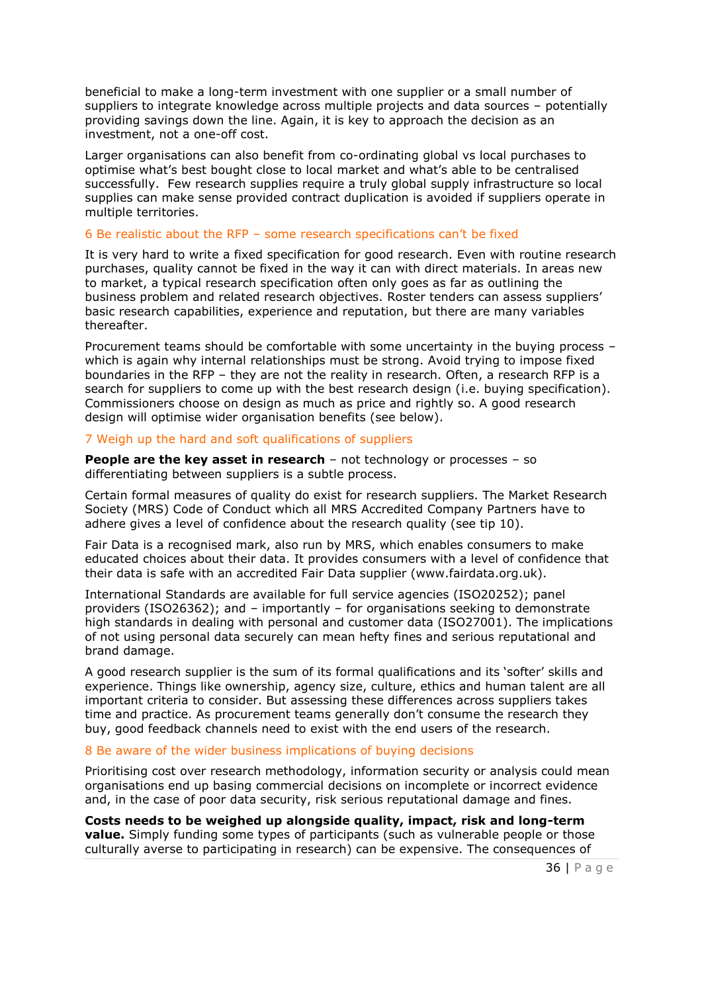beneficial to make a long-term investment with one supplier or a small number of suppliers to integrate knowledge across multiple projects and data sources – potentially providing savings down the line. Again, it is key to approach the decision as an investment, not a one-off cost.

Larger organisations can also benefit from co-ordinating global vs local purchases to optimise what's best bought close to local market and what's able to be centralised successfully. Few research supplies require a truly global supply infrastructure so local supplies can make sense provided contract duplication is avoided if suppliers operate in multiple territories.

#### 6 Be realistic about the RFP – some research specifications can't be fixed

It is very hard to write a fixed specification for good research. Even with routine research purchases, quality cannot be fixed in the way it can with direct materials. In areas new to market, a typical research specification often only goes as far as outlining the business problem and related research objectives. Roster tenders can assess suppliers' basic research capabilities, experience and reputation, but there are many variables thereafter.

Procurement teams should be comfortable with some uncertainty in the buying process – which is again why internal relationships must be strong. Avoid trying to impose fixed boundaries in the RFP – they are not the reality in research. Often, a research RFP is a search for suppliers to come up with the best research design (i.e. buying specification). Commissioners choose on design as much as price and rightly so. A good research design will optimise wider organisation benefits (see below).

#### 7 Weigh up the hard and soft qualifications of suppliers

**People are the key asset in research** – not technology or processes – so differentiating between suppliers is a subtle process.

Certain formal measures of quality do exist for research suppliers. The Market Research Society (MRS) Code of Conduct which all MRS Accredited Company Partners have to adhere gives a level of confidence about the research quality (see tip 10).

Fair Data is a recognised mark, also run by MRS, which enables consumers to make educated choices about their data. It provides consumers with a level of confidence that their data is safe with an accredited Fair Data supplier (www.fairdata.org.uk).

International Standards are available for full service agencies (ISO20252); panel providers (ISO26362); and – importantly – for organisations seeking to demonstrate high standards in dealing with personal and customer data (ISO27001). The implications of not using personal data securely can mean hefty fines and serious reputational and brand damage.

A good research supplier is the sum of its formal qualifications and its 'softer' skills and experience. Things like ownership, agency size, culture, ethics and human talent are all important criteria to consider. But assessing these differences across suppliers takes time and practice. As procurement teams generally don't consume the research they buy, good feedback channels need to exist with the end users of the research.

#### 8 Be aware of the wider business implications of buying decisions

Prioritising cost over research methodology, information security or analysis could mean organisations end up basing commercial decisions on incomplete or incorrect evidence and, in the case of poor data security, risk serious reputational damage and fines.

**Costs needs to be weighed up alongside quality, impact, risk and long-term value.** Simply funding some types of participants (such as vulnerable people or those culturally averse to participating in research) can be expensive. The consequences of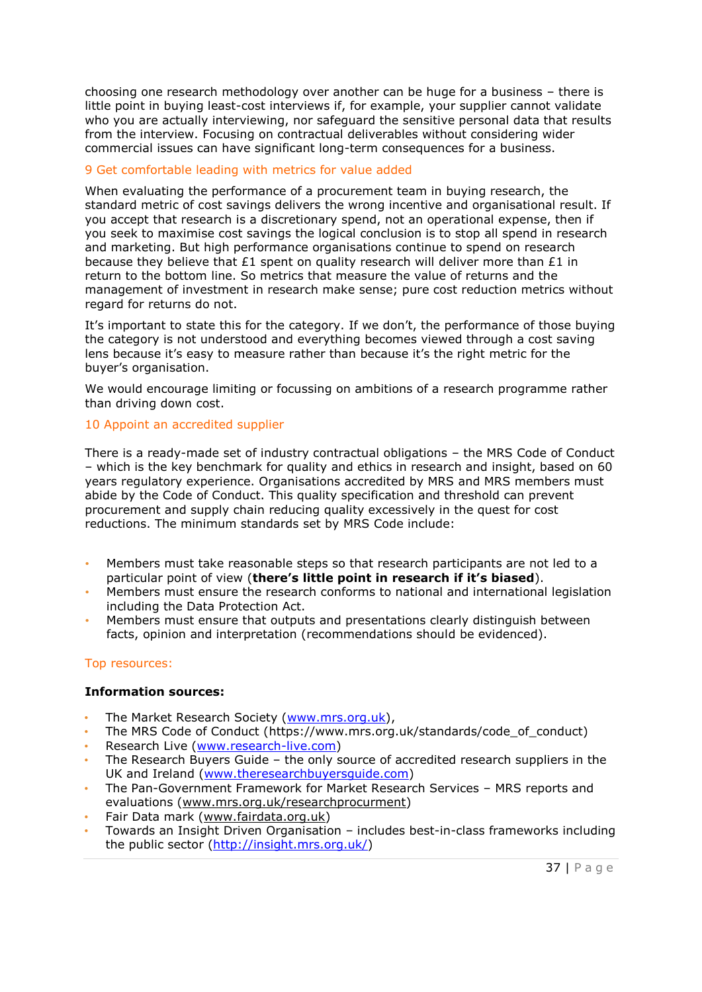choosing one research methodology over another can be huge for a business – there is little point in buying least-cost interviews if, for example, your supplier cannot validate who you are actually interviewing, nor safeguard the sensitive personal data that results from the interview. Focusing on contractual deliverables without considering wider commercial issues can have significant long-term consequences for a business.

## 9 Get comfortable leading with metrics for value added

When evaluating the performance of a procurement team in buying research, the standard metric of cost savings delivers the wrong incentive and organisational result. If you accept that research is a discretionary spend, not an operational expense, then if you seek to maximise cost savings the logical conclusion is to stop all spend in research and marketing. But high performance organisations continue to spend on research because they believe that £1 spent on quality research will deliver more than £1 in return to the bottom line. So metrics that measure the value of returns and the management of investment in research make sense; pure cost reduction metrics without regard for returns do not.

It's important to state this for the category. If we don't, the performance of those buying the category is not understood and everything becomes viewed through a cost saving lens because it's easy to measure rather than because it's the right metric for the buyer's organisation.

We would encourage limiting or focussing on ambitions of a research programme rather than driving down cost.

## 10 Appoint an accredited supplier

There is a ready-made set of industry contractual obligations – the MRS Code of Conduct – which is the key benchmark for quality and ethics in research and insight, based on 60 years regulatory experience. Organisations accredited by MRS and MRS members must abide by the Code of Conduct. This quality specification and threshold can prevent procurement and supply chain reducing quality excessively in the quest for cost reductions. The minimum standards set by MRS Code include:

- Members must take reasonable steps so that research participants are not led to a particular point of view (**there's little point in research if it's biased**).
- Members must ensure the research conforms to national and international legislation including the Data Protection Act.
- Members must ensure that outputs and presentations clearly distinguish between facts, opinion and interpretation (recommendations should be evidenced).

## Top resources:

## **Information sources:**

- The Market Research Society [\(www.mrs.org.uk\)](http://www.mrs.org.uk/),
- The MRS Code of Conduct (https://www.mrs.org.uk/standards/code\_of\_conduct)
- Research Live [\(www.research-live.com\)](http://www.research-live.com/)
- The Research Buyers Guide the only source of accredited research suppliers in the UK and Ireland [\(www.theresearchbuyersguide.com\)](http://www.theresearchbuyersguide.com/)
- The Pan-Government Framework for Market Research Services MRS reports and evaluations [\(www.mrs.org.uk/researchprocurment\)](http://www.mrs.org.uk/researchprocurment)
- Fair Data mark [\(www.fairdata.org.uk\)](http://www.fairdata.org.uk/)
- Towards an Insight Driven Organisation includes best-in-class frameworks including the public sector [\(http://insight.mrs.org.uk/\)](http://insight.mrs.org.uk/)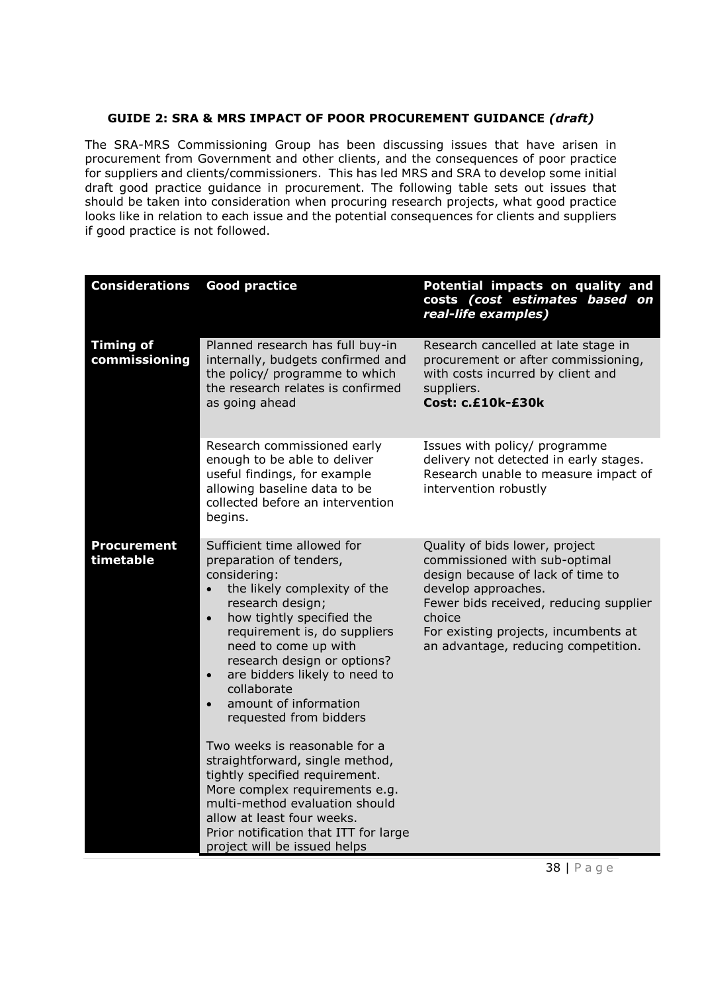## **GUIDE 2: SRA & MRS IMPACT OF POOR PROCUREMENT GUIDANCE** *(draft)*

The SRA-MRS Commissioning Group has been discussing issues that have arisen in procurement from Government and other clients, and the consequences of poor practice for suppliers and clients/commissioners. This has led MRS and SRA to develop some initial draft good practice guidance in procurement. The following table sets out issues that should be taken into consideration when procuring research projects, what good practice looks like in relation to each issue and the potential consequences for clients and suppliers if good practice is not followed.

| <b>Considerations</b>             | <b>Good practice</b>                                                                                                                                                                                                                                                                                                                                                                                                                                                                                                                                                                                                                                                                   | Potential impacts on quality and<br>costs (cost estimates based on<br>real-life examples)                                                                                                                                                                      |
|-----------------------------------|----------------------------------------------------------------------------------------------------------------------------------------------------------------------------------------------------------------------------------------------------------------------------------------------------------------------------------------------------------------------------------------------------------------------------------------------------------------------------------------------------------------------------------------------------------------------------------------------------------------------------------------------------------------------------------------|----------------------------------------------------------------------------------------------------------------------------------------------------------------------------------------------------------------------------------------------------------------|
| <b>Timing of</b><br>commissioning | Planned research has full buy-in<br>internally, budgets confirmed and<br>the policy/ programme to which<br>the research relates is confirmed<br>as going ahead                                                                                                                                                                                                                                                                                                                                                                                                                                                                                                                         | Research cancelled at late stage in<br>procurement or after commissioning,<br>with costs incurred by client and<br>suppliers.<br>Cost: c.£10k-£30k                                                                                                             |
|                                   | Research commissioned early<br>enough to be able to deliver<br>useful findings, for example<br>allowing baseline data to be<br>collected before an intervention<br>begins.                                                                                                                                                                                                                                                                                                                                                                                                                                                                                                             | Issues with policy/ programme<br>delivery not detected in early stages.<br>Research unable to measure impact of<br>intervention robustly                                                                                                                       |
| <b>Procurement</b><br>timetable   | Sufficient time allowed for<br>preparation of tenders,<br>considering:<br>the likely complexity of the<br>$\bullet$<br>research design;<br>how tightly specified the<br>$\bullet$<br>requirement is, do suppliers<br>need to come up with<br>research design or options?<br>are bidders likely to need to<br>$\bullet$<br>collaborate<br>amount of information<br>$\bullet$<br>requested from bidders<br>Two weeks is reasonable for a<br>straightforward, single method,<br>tightly specified requirement.<br>More complex requirements e.g.<br>multi-method evaluation should<br>allow at least four weeks.<br>Prior notification that ITT for large<br>project will be issued helps | Quality of bids lower, project<br>commissioned with sub-optimal<br>design because of lack of time to<br>develop approaches.<br>Fewer bids received, reducing supplier<br>choice<br>For existing projects, incumbents at<br>an advantage, reducing competition. |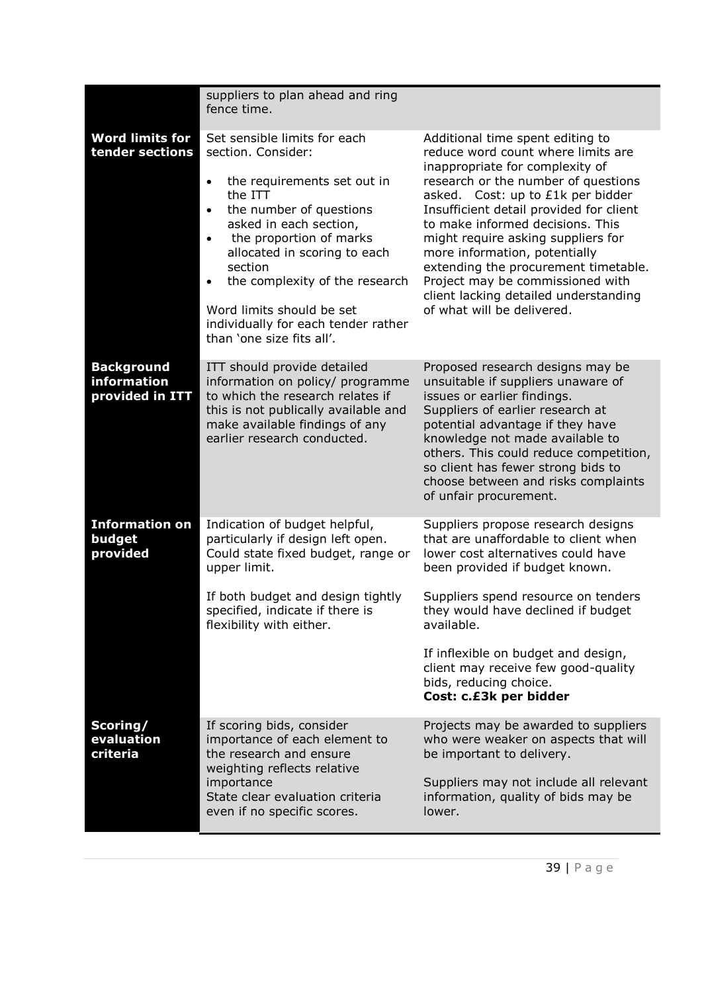|                                                     | suppliers to plan ahead and ring<br>fence time.                                                                                                                                                                                                                                                                                                                                      |                                                                                                                                                                                                                                                                                                                                                                                                                                                                                                |
|-----------------------------------------------------|--------------------------------------------------------------------------------------------------------------------------------------------------------------------------------------------------------------------------------------------------------------------------------------------------------------------------------------------------------------------------------------|------------------------------------------------------------------------------------------------------------------------------------------------------------------------------------------------------------------------------------------------------------------------------------------------------------------------------------------------------------------------------------------------------------------------------------------------------------------------------------------------|
| <b>Word limits for</b><br>tender sections           | Set sensible limits for each<br>section. Consider:<br>the requirements set out in<br>the ITT<br>the number of questions<br>$\bullet$<br>asked in each section,<br>the proportion of marks<br>$\bullet$<br>allocated in scoring to each<br>section<br>the complexity of the research<br>Word limits should be set<br>individually for each tender rather<br>than 'one size fits all'. | Additional time spent editing to<br>reduce word count where limits are<br>inappropriate for complexity of<br>research or the number of questions<br>asked. Cost: up to £1k per bidder<br>Insufficient detail provided for client<br>to make informed decisions. This<br>might require asking suppliers for<br>more information, potentially<br>extending the procurement timetable.<br>Project may be commissioned with<br>client lacking detailed understanding<br>of what will be delivered. |
| <b>Background</b><br>information<br>provided in ITT | ITT should provide detailed<br>information on policy/ programme<br>to which the research relates if<br>this is not publically available and<br>make available findings of any<br>earlier research conducted.                                                                                                                                                                         | Proposed research designs may be<br>unsuitable if suppliers unaware of<br>issues or earlier findings.<br>Suppliers of earlier research at<br>potential advantage if they have<br>knowledge not made available to<br>others. This could reduce competition,<br>so client has fewer strong bids to<br>choose between and risks complaints<br>of unfair procurement.                                                                                                                              |
| <b>Information on</b><br>budget<br>provided         | Indication of budget helpful,<br>particularly if design left open.<br>Could state fixed budget, range or<br>upper limit.<br>If both budget and design tightly<br>specified, indicate if there is<br>flexibility with either.                                                                                                                                                         | Suppliers propose research designs<br>that are unaffordable to client when<br>lower cost alternatives could have<br>been provided if budget known.<br>Suppliers spend resource on tenders<br>they would have declined if budget<br>available.                                                                                                                                                                                                                                                  |
|                                                     |                                                                                                                                                                                                                                                                                                                                                                                      | If inflexible on budget and design,<br>client may receive few good-quality<br>bids, reducing choice.<br>Cost: c.£3k per bidder                                                                                                                                                                                                                                                                                                                                                                 |
| Scoring/<br>evaluation<br>criteria                  | If scoring bids, consider<br>importance of each element to<br>the research and ensure<br>weighting reflects relative<br>importance<br>State clear evaluation criteria<br>even if no specific scores.                                                                                                                                                                                 | Projects may be awarded to suppliers<br>who were weaker on aspects that will<br>be important to delivery.<br>Suppliers may not include all relevant<br>information, quality of bids may be<br>lower.                                                                                                                                                                                                                                                                                           |